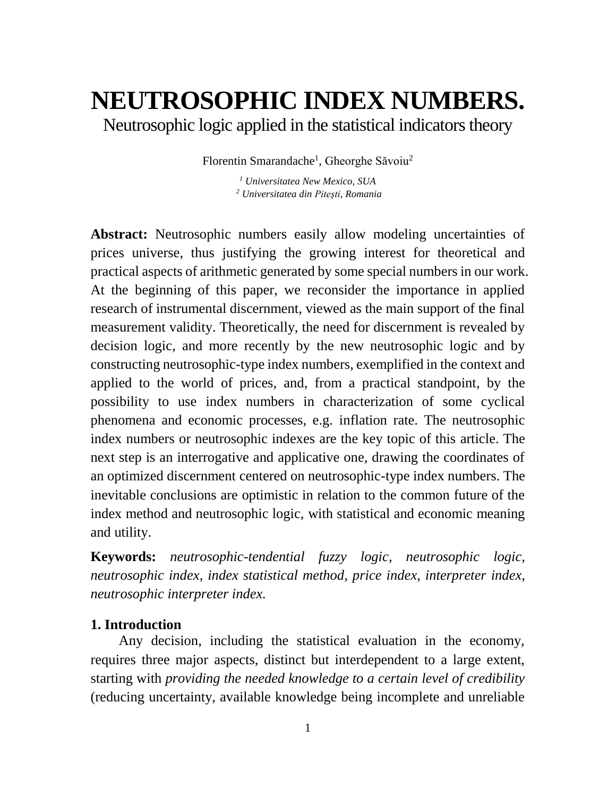# **NEUTROSOPHIC INDEX NUMBERS.**

Neutrosophic logic applied in the statistical indicators theory

Florentin Smarandache<sup>1</sup>, Gheorghe Săvoiu<sup>2</sup>

*<sup>1</sup> Universitatea New Mexico, SUA <sup>2</sup> Universitatea din Piteşti, Romania*

**Abstract:** Neutrosophic numbers easily allow modeling uncertainties of prices universe, thus justifying the growing interest for theoretical and practical aspects of arithmetic generated by some special numbers in our work. At the beginning of this paper, we reconsider the importance in applied research of instrumental discernment, viewed as the main support of the final measurement validity. Theoretically, the need for discernment is revealed by decision logic, and more recently by the new neutrosophic logic and by constructing neutrosophic-type index numbers, exemplified in the context and applied to the world of prices, and, from a practical standpoint, by the possibility to use index numbers in characterization of some cyclical phenomena and economic processes, e.g. inflation rate. The neutrosophic index numbers or neutrosophic indexes are the key topic of this article. The next step is an interrogative and applicative one, drawing the coordinates of an optimized discernment centered on neutrosophic-type index numbers. The inevitable conclusions are optimistic in relation to the common future of the index method and neutrosophic logic, with statistical and economic meaning and utility.

**Keywords:** *neutrosophic-tendential fuzzy logic, neutrosophic logic, neutrosophic index, index statistical method, price index, interpreter index, neutrosophic interpreter index.*

#### **1. Introduction**

Any decision, including the statistical evaluation in the economy, requires three major aspects, distinct but interdependent to a large extent, starting with *providing the needed knowledge to a certain level of credibility* (reducing uncertainty, available knowledge being incomplete and unreliable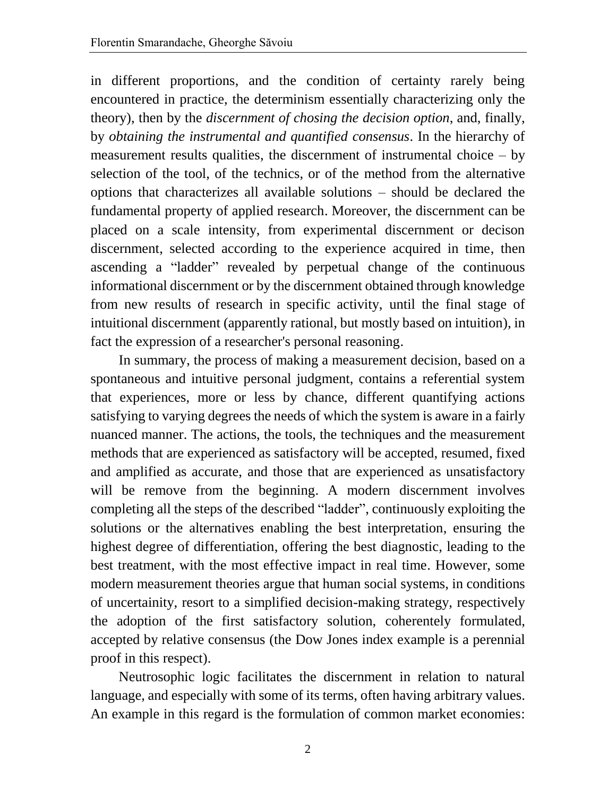in different proportions, and the condition of certainty rarely being encountered in practice, the determinism essentially characterizing only the theory), then by the *discernment of chosing the decision option*, and, finally, by *obtaining the instrumental and quantified consensus*. In the hierarchy of measurement results qualities, the discernment of instrumental choice  $-$  by selection of the tool, of the technics, or of the method from the alternative options that characterizes all available solutions – should be declared the fundamental property of applied research. Moreover, the discernment can be placed on a scale intensity, from experimental discernment or decison discernment, selected according to the experience acquired in time, then ascending a "ladder" revealed by perpetual change of the continuous informational discernment or by the discernment obtained through knowledge from new results of research in specific activity, until the final stage of intuitional discernment (apparently rational, but mostly based on intuition), in fact the expression of a researcher's personal reasoning.

In summary, the process of making a measurement decision, based on a spontaneous and intuitive personal judgment, contains a referential system that experiences, more or less by chance, different quantifying actions satisfying to varying degrees the needs of which the system is aware in a fairly nuanced manner. The actions, the tools, the techniques and the measurement methods that are experienced as satisfactory will be accepted, resumed, fixed and amplified as accurate, and those that are experienced as unsatisfactory will be remove from the beginning. A modern discernment involves completing all the steps of the described "ladder", continuously exploiting the solutions or the alternatives enabling the best interpretation, ensuring the highest degree of differentiation, offering the best diagnostic, leading to the best treatment, with the most effective impact in real time. However, some modern measurement theories argue that human social systems, in conditions of uncertainity, resort to a simplified decision-making strategy, respectively the adoption of the first satisfactory solution, coherentely formulated, accepted by relative consensus (the Dow Jones index example is a perennial proof in this respect).

Neutrosophic logic facilitates the discernment in relation to natural language, and especially with some of its terms, often having arbitrary values. An example in this regard is the formulation of common market economies: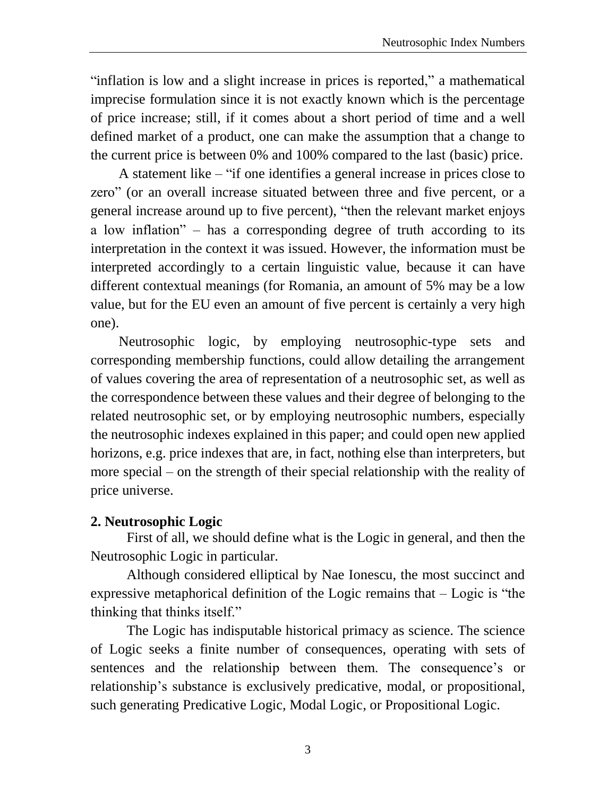"inflation is low and a slight increase in prices is reported," a mathematical imprecise formulation since it is not exactly known which is the percentage of price increase; still, if it comes about a short period of time and a well defined market of a product, one can make the assumption that a change to the current price is between 0% and 100% compared to the last (basic) price.

A statement like – "if one identifies a general increase in prices close to zero" (or an overall increase situated between three and five percent, or a general increase around up to five percent), "then the relevant market enjoys a low inflation" – has a corresponding degree of truth according to its interpretation in the context it was issued. However, the information must be interpreted accordingly to a certain linguistic value, because it can have different contextual meanings (for Romania, an amount of 5% may be a low value, but for the EU even an amount of five percent is certainly a very high one).

Neutrosophic logic, by employing neutrosophic-type sets and corresponding membership functions, could allow detailing the arrangement of values covering the area of representation of a neutrosophic set, as well as the correspondence between these values and their degree of belonging to the related neutrosophic set, or by employing neutrosophic numbers, especially the neutrosophic indexes explained in this paper; and could open new applied horizons, e.g. price indexes that are, in fact, nothing else than interpreters, but more special – on the strength of their special relationship with the reality of price universe.

# **2. Neutrosophic Logic**

First of all, we should define what is the Logic in general, and then the Neutrosophic Logic in particular.

Although considered elliptical by Nae Ionescu, the most succinct and expressive metaphorical definition of the Logic remains that – Logic is "the thinking that thinks itself."

The Logic has indisputable historical primacy as science. The science of Logic seeks a finite number of consequences, operating with sets of sentences and the relationship between them. The consequence's or relationship's substance is exclusively predicative, modal, or propositional, such generating Predicative Logic, Modal Logic, or Propositional Logic.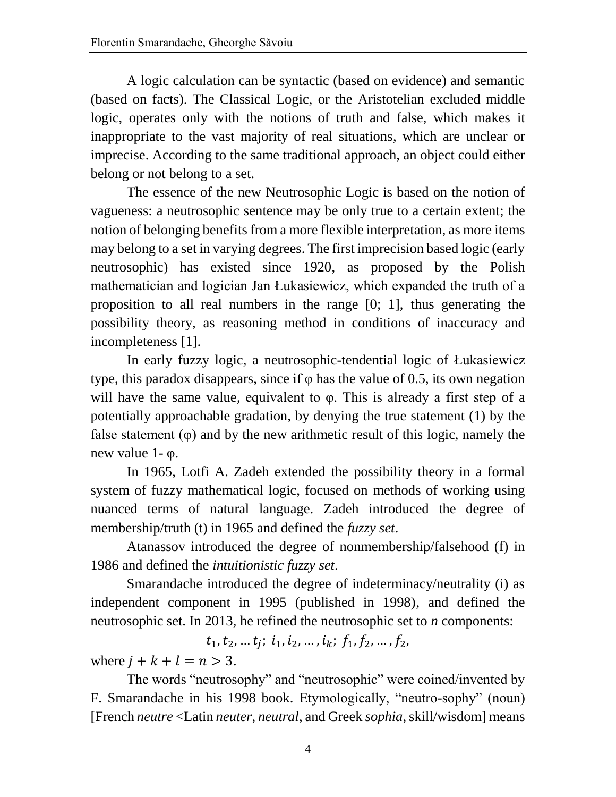A logic calculation can be syntactic (based on evidence) and semantic (based on facts). The Classical Logic, or the Aristotelian excluded middle logic, operates only with the notions of truth and false, which makes it inappropriate to the vast majority of real situations, which are unclear or imprecise. According to the same traditional approach, an object could either belong or not belong to a set.

The essence of the new Neutrosophic Logic is based on the notion of vagueness: a neutrosophic sentence may be only true to a certain extent; the notion of belonging benefits from a more flexible interpretation, as more items may belong to a set in varying degrees. The first imprecision based logic (early neutrosophic) has existed since 1920, as proposed by the Polish mathematician and logician Jan Łukasiewicz, which expanded the truth of a proposition to all real numbers in the range [0; 1], thus generating the possibility theory, as reasoning method in conditions of inaccuracy and incompleteness [1].

In early fuzzy logic, a neutrosophic-tendential logic of Łukasiewicz type, this paradox disappears, since if  $\varphi$  has the value of 0.5, its own negation will have the same value, equivalent to  $\varphi$ . This is already a first step of a potentially approachable gradation, by denying the true statement (1) by the false statement  $(\varphi)$  and by the new arithmetic result of this logic, namely the new value 1- φ.

In 1965, Lotfi A. Zadeh extended the possibility theory in a formal system of fuzzy mathematical logic, focused on methods of working using nuanced terms of natural language. Zadeh introduced the degree of membership/truth (t) in 1965 and defined the *fuzzy set*.

Atanassov introduced the degree of nonmembership/falsehood (f) in 1986 and defined the *intuitionistic fuzzy set*.

Smarandache introduced the degree of indeterminacy/neutrality (i) as independent component in 1995 (published in 1998), and defined the neutrosophic set. In 2013, he refined the neutrosophic set to *n* components:

 $t_1, t_2, \dots t_j; i_1, i_2, \dots, i_k; f_1, f_2, \dots, f_2,$ 

where  $j + k + l = n > 3$ .

The words "neutrosophy" and "neutrosophic" were coined/invented by F. Smarandache in his 1998 book. Etymologically, "neutro-sophy" (noun) [French *neutre* <Latin *neuter*, *neutral*, and Greek *sophia*, skill/wisdom] means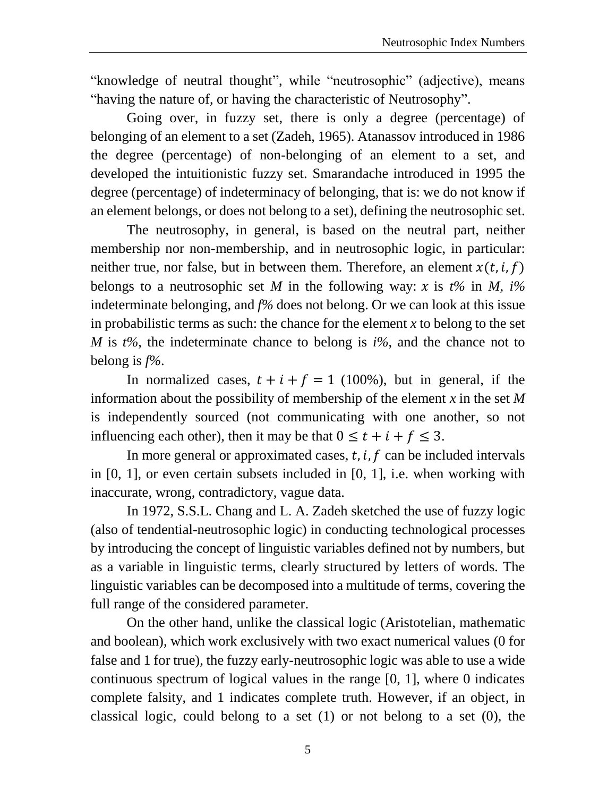"knowledge of neutral thought", while "neutrosophic" (adjective), means "having the nature of, or having the characteristic of Neutrosophy".

Going over, in fuzzy set, there is only a degree (percentage) of belonging of an element to a set (Zadeh, 1965). Atanassov introduced in 1986 the degree (percentage) of non-belonging of an element to a set, and developed the intuitionistic fuzzy set. Smarandache introduced in 1995 the degree (percentage) of indeterminacy of belonging, that is: we do not know if an element belongs, or does not belong to a set), defining the neutrosophic set.

The neutrosophy, in general, is based on the neutral part, neither membership nor non-membership, and in neutrosophic logic, in particular: neither true, nor false, but in between them. Therefore, an element  $x(t, i, f)$ belongs to a neutrosophic set *M* in the following way:  $x$  is  $t\%$  in *M*,  $i\%$ indeterminate belonging, and *f%* does not belong. Or we can look at this issue in probabilistic terms as such: the chance for the element  $x$  to belong to the set *M* is *t%*, the indeterminate chance to belong is *i%*, and the chance not to belong is *f%*.

In normalized cases,  $t + i + f = 1$  (100%), but in general, if the information about the possibility of membership of the element *x* in the set *M* is independently sourced (not communicating with one another, so not influencing each other), then it may be that  $0 \le t + i + f \le 3$ .

In more general or approximated cases,  $t$ ,  $i$ ,  $f$  can be included intervals in [0, 1], or even certain subsets included in [0, 1], i.e. when working with inaccurate, wrong, contradictory, vague data.

In 1972, S.S.L. Chang and L. A. Zadeh sketched the use of fuzzy logic (also of tendential-neutrosophic logic) in conducting technological processes by introducing the concept of linguistic variables defined not by numbers, but as a variable in linguistic terms, clearly structured by letters of words. The linguistic variables can be decomposed into a multitude of terms, covering the full range of the considered parameter.

On the other hand, unlike the classical logic (Aristotelian, mathematic and boolean), which work exclusively with two exact numerical values (0 for false and 1 for true), the fuzzy early-neutrosophic logic was able to use a wide continuous spectrum of logical values in the range [0, 1], where 0 indicates complete falsity, and 1 indicates complete truth. However, if an object, in classical logic, could belong to a set  $(1)$  or not belong to a set  $(0)$ , the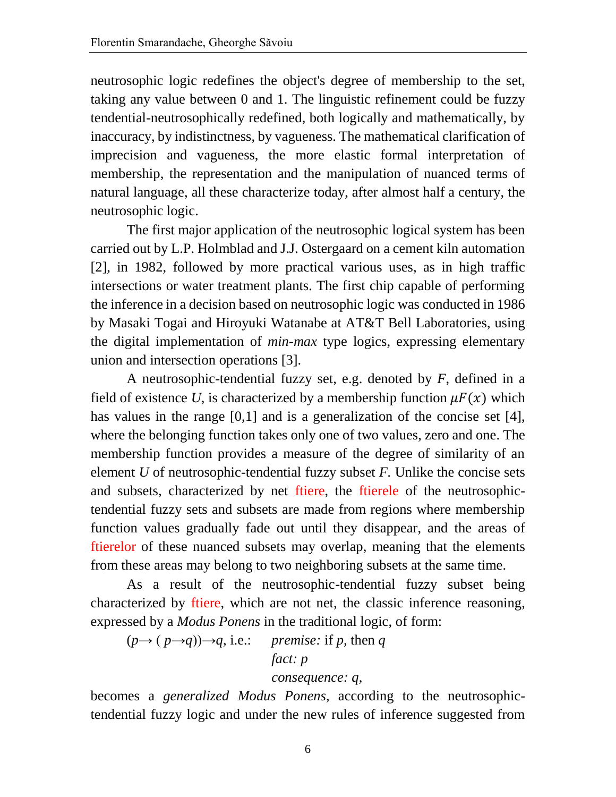neutrosophic logic redefines the object's degree of membership to the set, taking any value between 0 and 1. The linguistic refinement could be fuzzy tendential-neutrosophically redefined, both logically and mathematically, by inaccuracy, by indistinctness, by vagueness. The mathematical clarification of imprecision and vagueness, the more elastic formal interpretation of membership, the representation and the manipulation of nuanced terms of natural language, all these characterize today, after almost half a century, the neutrosophic logic.

The first major application of the neutrosophic logical system has been carried out by L.P. Holmblad and J.J. Ostergaard on a cement kiln automation [2], in 1982, followed by more practical various uses, as in high traffic intersections or water treatment plants. The first chip capable of performing the inference in a decision based on neutrosophic logic was conducted in 1986 by Masaki Togai and Hiroyuki Watanabe at AT&T Bell Laboratories, using the digital implementation of *min-max* type logics, expressing elementary union and intersection operations [3].

A neutrosophic-tendential fuzzy set, e.g. denoted by *F*, defined in a field of existence U, is characterized by a membership function  $\mu F(x)$  which has values in the range [0,1] and is a generalization of the concise set [4], where the belonging function takes only one of two values, zero and one. The membership function provides a measure of the degree of similarity of an element *U* of neutrosophic-tendential fuzzy subset *F.* Unlike the concise sets and subsets, characterized by net ftiere, the ftierele of the neutrosophictendential fuzzy sets and subsets are made from regions where membership function values gradually fade out until they disappear, and the areas of ftierelor of these nuanced subsets may overlap, meaning that the elements from these areas may belong to two neighboring subsets at the same time.

As a result of the neutrosophic-tendential fuzzy subset being characterized by ftiere, which are not net, the classic inference reasoning, expressed by a *Modus Ponens* in the traditional logic, of form:

 $(p \rightarrow (p \rightarrow q)) \rightarrow q$ , i.e.: *premise:* if *p*, then *q* 

 *fact: p*

#### *consequence: q,*

becomes a *generalized Modus Ponens,* according to the neutrosophictendential fuzzy logic and under the new rules of inference suggested from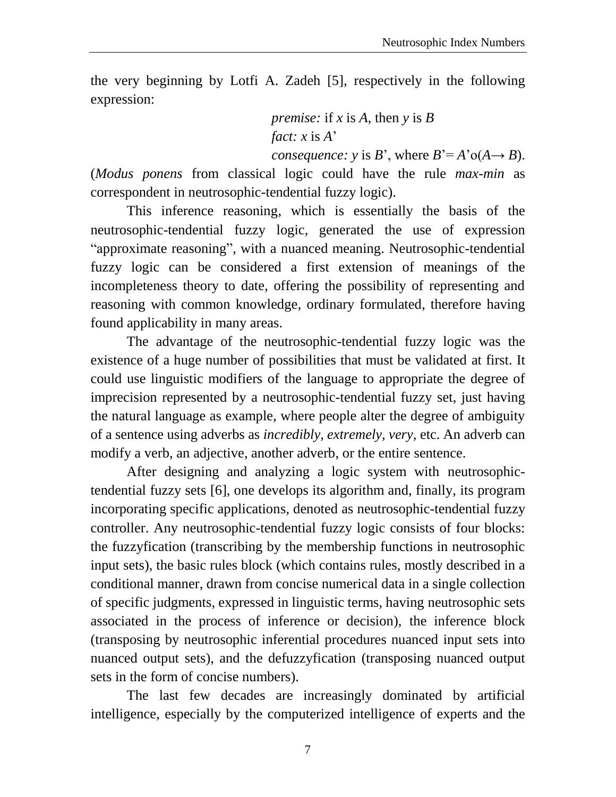the very beginning by Lotfi A. Zadeh [5], respectively in the following expression:

> *premise:* if *x* is *A*, then *y* is *B fact: x* is *A*'

*consequence: y* is *B*', where  $B' = A' \circ (A \rightarrow B)$ .

(*Modus ponens* from classical logic could have the rule *max-min* as correspondent in neutrosophic-tendential fuzzy logic).

This inference reasoning, which is essentially the basis of the neutrosophic-tendential fuzzy logic, generated the use of expression "approximate reasoning", with a nuanced meaning. Neutrosophic-tendential fuzzy logic can be considered a first extension of meanings of the incompleteness theory to date, offering the possibility of representing and reasoning with common knowledge, ordinary formulated, therefore having found applicability in many areas.

The advantage of the neutrosophic-tendential fuzzy logic was the existence of a huge number of possibilities that must be validated at first. It could use linguistic modifiers of the language to appropriate the degree of imprecision represented by a neutrosophic-tendential fuzzy set, just having the natural language as example, where people alter the degree of ambiguity of a sentence using adverbs as *incredibly, extremely, very,* etc. An adverb can modify a verb, an adjective, another adverb, or the entire sentence.

After designing and analyzing a logic system with neutrosophictendential fuzzy sets [6], one develops its algorithm and, finally, its program incorporating specific applications, denoted as neutrosophic-tendential fuzzy controller. Any neutrosophic-tendential fuzzy logic consists of four blocks: the fuzzyfication (transcribing by the membership functions in neutrosophic input sets), the basic rules block (which contains rules, mostly described in a conditional manner, drawn from concise numerical data in a single collection of specific judgments, expressed in linguistic terms, having neutrosophic sets associated in the process of inference or decision), the inference block (transposing by neutrosophic inferential procedures nuanced input sets into nuanced output sets), and the defuzzyfication (transposing nuanced output sets in the form of concise numbers).

The last few decades are increasingly dominated by artificial intelligence, especially by the computerized intelligence of experts and the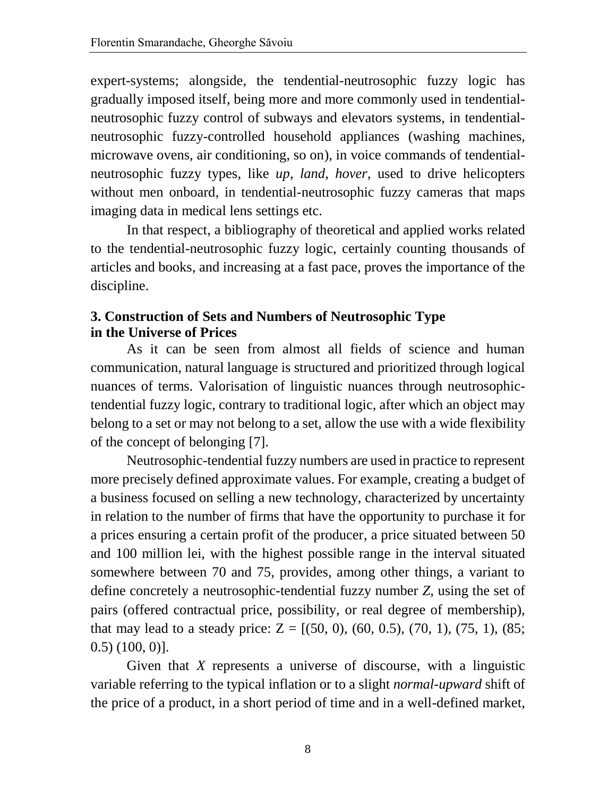expert-systems; alongside, the tendential-neutrosophic fuzzy logic has gradually imposed itself, being more and more commonly used in tendentialneutrosophic fuzzy control of subways and elevators systems, in tendentialneutrosophic fuzzy-controlled household appliances (washing machines, microwave ovens, air conditioning, so on), in voice commands of tendentialneutrosophic fuzzy types, like *up*, *land*, *hover*, used to drive helicopters without men onboard, in tendential-neutrosophic fuzzy cameras that maps imaging data in medical lens settings etc.

In that respect, a bibliography of theoretical and applied works related to the tendential-neutrosophic fuzzy logic, certainly counting thousands of articles and books, and increasing at a fast pace, proves the importance of the discipline.

## **3. Construction of Sets and Numbers of Neutrosophic Type in the Universe of Prices**

As it can be seen from almost all fields of science and human communication, natural language is structured and prioritized through logical nuances of terms. Valorisation of linguistic nuances through neutrosophictendential fuzzy logic, contrary to traditional logic, after which an object may belong to a set or may not belong to a set, allow the use with a wide flexibility of the concept of belonging [7].

Neutrosophic-tendential fuzzy numbers are used in practice to represent more precisely defined approximate values. For example, creating a budget of a business focused on selling a new technology, characterized by uncertainty in relation to the number of firms that have the opportunity to purchase it for a prices ensuring a certain profit of the producer, a price situated between 50 and 100 million lei, with the highest possible range in the interval situated somewhere between 70 and 75, provides, among other things, a variant to define concretely a neutrosophic-tendential fuzzy number *Z*, using the set of pairs (offered contractual price, possibility, or real degree of membership), that may lead to a steady price:  $Z = [(50, 0), (60, 0.5), (70, 1), (75, 1), (85;$ 0.5) (100, 0)].

Given that *X* represents a universe of discourse, with a linguistic variable referring to the typical inflation or to a slight *normal-upward* shift of the price of a product, in a short period of time and in a well-defined market,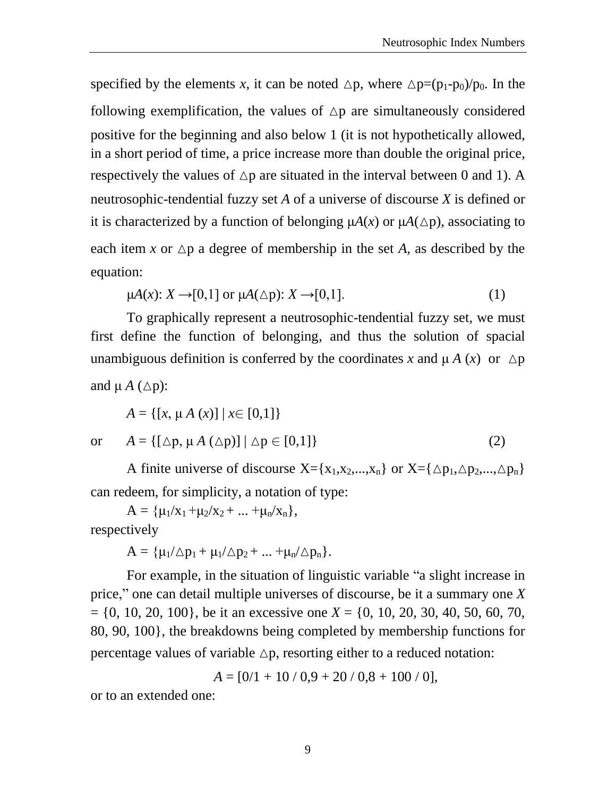specified by the elements *x*, it can be noted  $\Delta p$ , where  $\Delta p=(p_1-p_0)/p_0$ . In the following exemplification, the values of  $\Delta p$  are simultaneously considered positive for the beginning and also below 1 (it is not hypothetically allowed, in a short period of time, a price increase more than double the original price, respectively the values of  $\Delta p$  are situated in the interval between 0 and 1). A neutrosophic-tendential fuzzy set *A* of a universe of discourse *X* is defined or it is characterized by a function of belonging  $\mu A(x)$  or  $\mu A(\Delta p)$ , associating to each item x or  $\Delta p$  a degree of membership in the set *A*, as described by the equation:

$$
\mu A(x): X \to [0,1] \text{ or } \mu A(\triangle p): X \to [0,1]. \tag{1}
$$

To graphically represent a neutrosophic-tendential fuzzy set, we must first define the function of belonging, and thus the solution of spacial unambiguous definition is conferred by the coordinates x and  $\mu A(x)$  or  $\Delta p$ and  $\mu A$  ( $\Delta p$ ):

$$
A = \{ [x, \mu A(x)] \mid x \in [0,1] \}
$$

or  $A = \{ [\Delta p, \mu A (\Delta p)] | \Delta p \in [0,1] \}$  (2)

A finite universe of discourse  $X = \{x_1, x_2, ..., x_n\}$  or  $X = \{\Delta p_1, \Delta p_2, ..., \Delta p_n\}$ can redeem, for simplicity, a notation of type:

 $A = {\mu_1/x_1 + \mu_2/x_2 + ... + \mu_n/x_n},$ respectively

$$
A=\{\mu_l/\triangle p_1+\mu_l/\triangle p_2+...+\mu_n/\triangle p_n\}.
$$

For example, in the situation of linguistic variable "a slight increase in price," one can detail multiple universes of discourse, be it a summary one *X*  = {0, 10, 20, 100}, be it an excessive one *X* = {0, 10, 20, 30, 40, 50, 60, 70, 80, 90, 100}, the breakdowns being completed by membership functions for percentage values of variable  $\Delta p$ , resorting either to a reduced notation:

$$
A = [0/1 + 10 / 0.9 + 20 / 0.8 + 100 / 0],
$$

or to an extended one: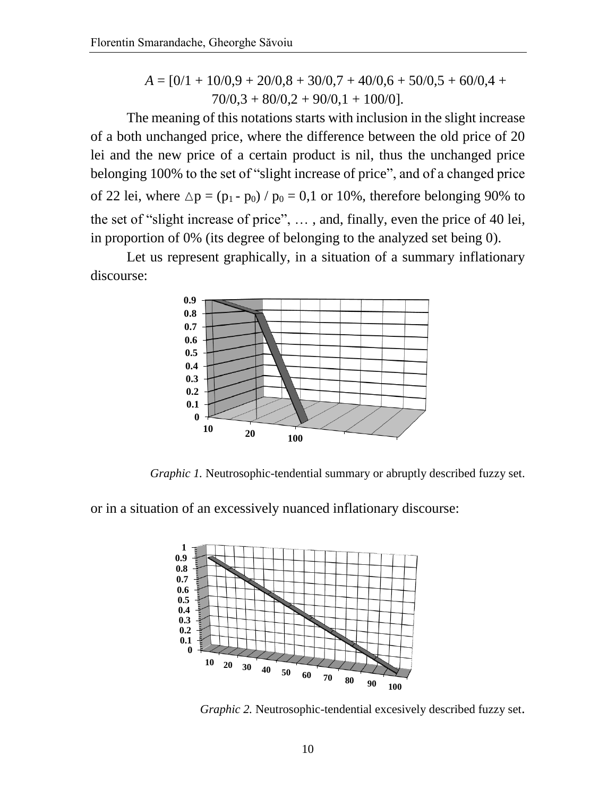$$
A = [0/1 + 10/0.9 + 20/0.8 + 30/0.7 + 40/0.6 + 50/0.5 + 60/0.4 + 70/0.3 + 80/0.2 + 90/0.1 + 100/0].
$$

The meaning of this notations starts with inclusion in the slight increase of a both unchanged price, where the difference between the old price of 20 lei and the new price of a certain product is nil, thus the unchanged price belonging 100% to the set of "slight increase of price", and of a changed price of 22 lei, where  $\Delta p = (p_1 - p_0) / p_0 = 0,1$  or 10%, therefore belonging 90% to the set of "slight increase of price", … , and, finally, even the price of 40 lei, in proportion of 0% (its degree of belonging to the analyzed set being 0).

Let us represent graphically, in a situation of a summary inflationary discourse:



*Graphic 1.* Neutrosophic-tendential summary or abruptly described fuzzy set.

or in a situation of an excessively nuanced inflationary discourse:



*Graphic 2.* Neutrosophic-tendential excesively described fuzzy set.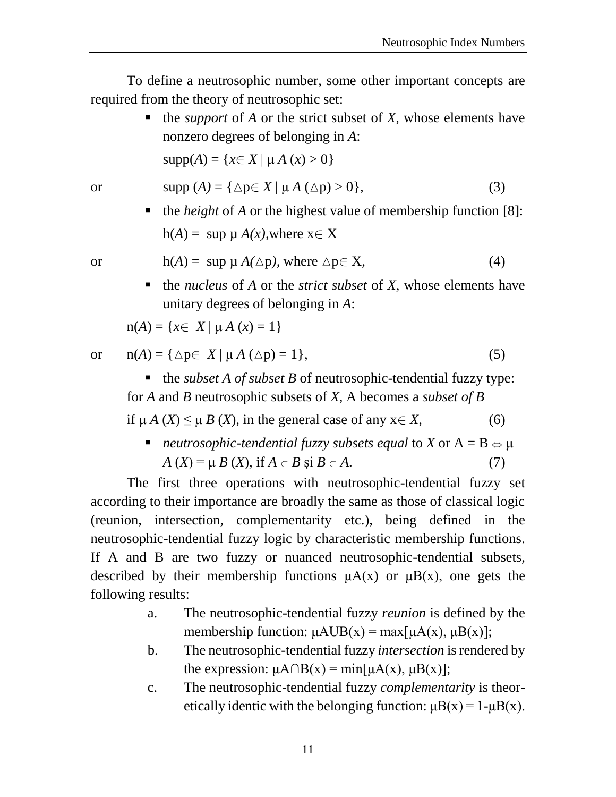To define a neutrosophic number, some other important concepts are required from the theory of neutrosophic set:

> the *support* of *A* or the strict subset of *X,* whose elements have nonzero degrees of belonging in *A*:

 $supp(A) = \{x \in X \mid \mu A(x) > 0\}$ 

$$
\text{or} \qquad \text{supp}(A) = \{ \Delta p \in X \mid \mu A \ (\Delta p) > 0 \}, \tag{3}
$$

■ the *height* of *A* or the highest value of membership function [8]:  $h(A) = \sup \mu A(x)$ , where  $x \in X$ 

or 
$$
h(A) = \sup \mu A(\Delta p)
$$
, where  $\Delta p \in X$ , (4)

■ the *nucleus* of *A* or the *strict subset* of *X*, whose elements have unitary degrees of belonging in *A*:

$$
n(A) = \{x \in X \mid \mu A(x) = 1\}
$$

or 
$$
n(A) = \{ \Delta p \in X \mid \mu A (\Delta p) = 1 \},
$$
 (5)

 $\blacksquare$  the *subset A of subset B* of neutrosophic-tendential fuzzy type: for *A* and *B* neutrosophic subsets of *X*, A becomes a *subset of B*

if  $\mu A(X) \leq \mu B(X)$ , in the general case of any  $x \in X$ , (6)

**neutrosophic-tendential fuzzy subsets equal to X or**  $A = B \Leftrightarrow \mu$  $A(X) = \mu B(X)$ , if  $A \subset B$  si  $B \subset A$ . (7)

The first three operations with neutrosophic-tendential fuzzy set according to their importance are broadly the same as those of classical logic (reunion, intersection, complementarity etc.), being defined in the neutrosophic-tendential fuzzy logic by characteristic membership functions. If A and B are two fuzzy or nuanced neutrosophic-tendential subsets, described by their membership functions  $\mu A(x)$  or  $\mu B(x)$ , one gets the following results:

- a. The neutrosophic-tendential fuzzy *reunion* is defined by the membership function:  $\mu AUB(x) = max[\mu A(x), \mu B(x)];$
- b. The neutrosophic-tendential fuzzy *intersection* is rendered by the expression:  $\mu A \cap B(x) = min[\mu A(x), \mu B(x)]$ ;
- c. The neutrosophic-tendential fuzzy *complementarity* is theoretically identic with the belonging function:  $\mu B(x) = 1 - \mu B(x)$ .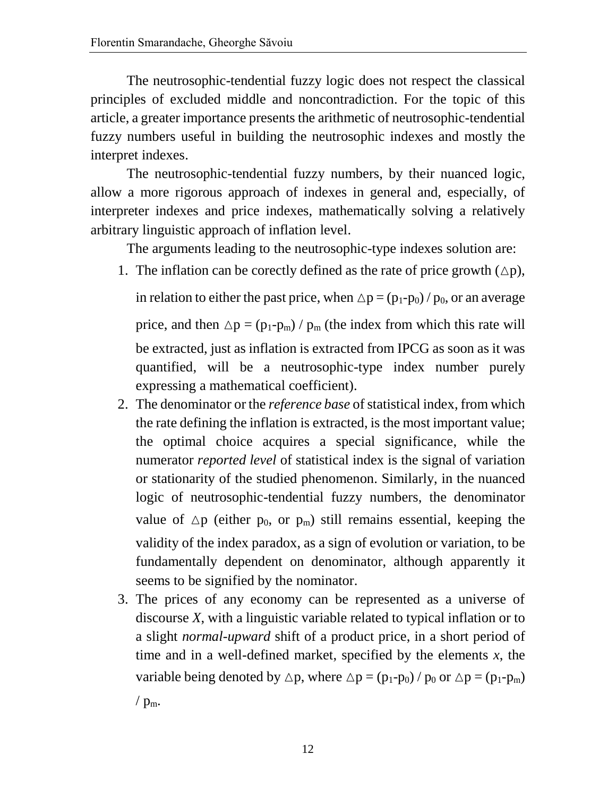The neutrosophic-tendential fuzzy logic does not respect the classical principles of excluded middle and noncontradiction. For the topic of this article, a greater importance presents the arithmetic of neutrosophic-tendential fuzzy numbers useful in building the neutrosophic indexes and mostly the interpret indexes.

The neutrosophic-tendential fuzzy numbers, by their nuanced logic, allow a more rigorous approach of indexes in general and, especially, of interpreter indexes and price indexes, mathematically solving a relatively arbitrary linguistic approach of inflation level.

The arguments leading to the neutrosophic-type indexes solution are:

1. The inflation can be corectly defined as the rate of price growth  $(\Delta p)$ ,

in relation to either the past price, when  $\Delta p = (p_1-p_0) / p_0$ , or an average price, and then  $\Delta p = (p_1-p_m) / p_m$  (the index from which this rate will be extracted, just as inflation is extracted from IPCG as soon as it was quantified, will be a neutrosophic-type index number purely expressing a mathematical coefficient).

- 2. The denominator or the *reference base* of statistical index, from which the rate defining the inflation is extracted, is the most important value; the optimal choice acquires a special significance, while the numerator *reported level* of statistical index is the signal of variation or stationarity of the studied phenomenon. Similarly, in the nuanced logic of neutrosophic-tendential fuzzy numbers, the denominator value of  $\Delta p$  (either p<sub>0</sub>, or p<sub>m</sub>) still remains essential, keeping the validity of the index paradox, as a sign of evolution or variation, to be fundamentally dependent on denominator, although apparently it seems to be signified by the nominator.
- 3. The prices of any economy can be represented as a universe of discourse *X*, with a linguistic variable related to typical inflation or to a slight *normal-upward* shift of a product price, in a short period of time and in a well-defined market, specified by the elements *x*, the variable being denoted by  $\triangle p$ , where  $\triangle p = (p_1-p_0) / p_0$  or  $\triangle p = (p_1-p_m)$ /  $p_m$ .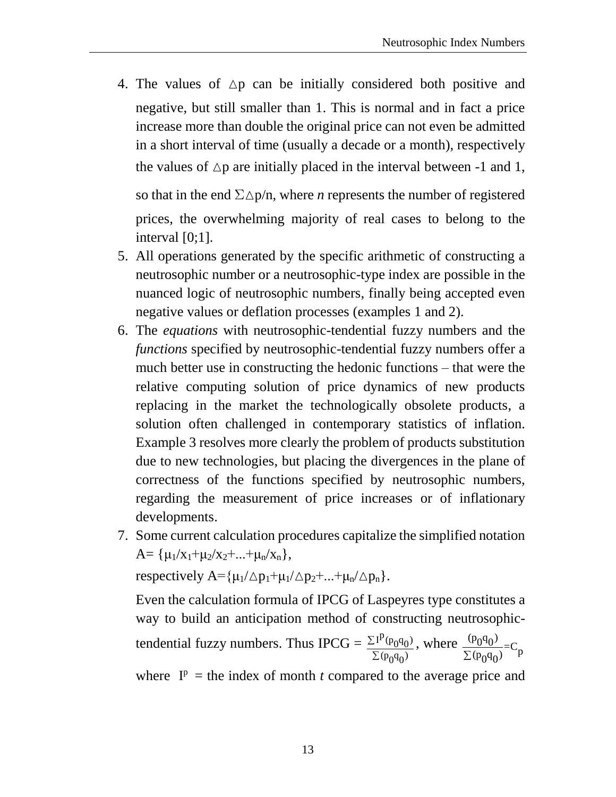- 4. The values of  $\Delta p$  can be initially considered both positive and negative, but still smaller than 1. This is normal and in fact a price increase more than double the original price can not even be admitted in a short interval of time (usually a decade or a month), respectively the values of  $\Delta p$  are initially placed in the interval between -1 and 1, so that in the end  $\Sigma \Delta p/n$ , where *n* represents the number of registered prices, the overwhelming majority of real cases to belong to the interval [0;1].
- 5. All operations generated by the specific arithmetic of constructing a neutrosophic number or a neutrosophic-type index are possible in the nuanced logic of neutrosophic numbers, finally being accepted even negative values or deflation processes (examples 1 and 2).
- 6. The *equations* with neutrosophic-tendential fuzzy numbers and the *functions* specified by neutrosophic-tendential fuzzy numbers offer a much better use in constructing the hedonic functions – that were the relative computing solution of price dynamics of new products replacing in the market the technologically obsolete products, a solution often challenged in contemporary statistics of inflation. Example 3 resolves more clearly the problem of products substitution due to new technologies, but placing the divergences in the plane of correctness of the functions specified by neutrosophic numbers, regarding the measurement of price increases or of inflationary developments.
- 7. Some current calculation procedures capitalize the simplified notation  $A = { \mu_1 / x_1 + \mu_2 / x_2 + ... + \mu_n / x_n },$

respectively  $A = \{\mu_1/\Delta p_1 + \mu_1/\Delta p_2 + \ldots + \mu_n/\Delta p_n\}.$ 

Even the calculation formula of IPCG of Laspeyres type constitutes a way to build an anticipation method of constructing neutrosophictendential fuzzy numbers. Thus IPCG =  $\frac{\sum I^{p}(p_0 q_0)}{\sum I^{p}(q_0 q_0)}$  $(p_0 q_0)$ Σ Σ , where  $\frac{(p_0 q_0)}{\Sigma (p_0 q_0)} = C_p$ where  $I^p$  = the index of month *t* compared to the average price and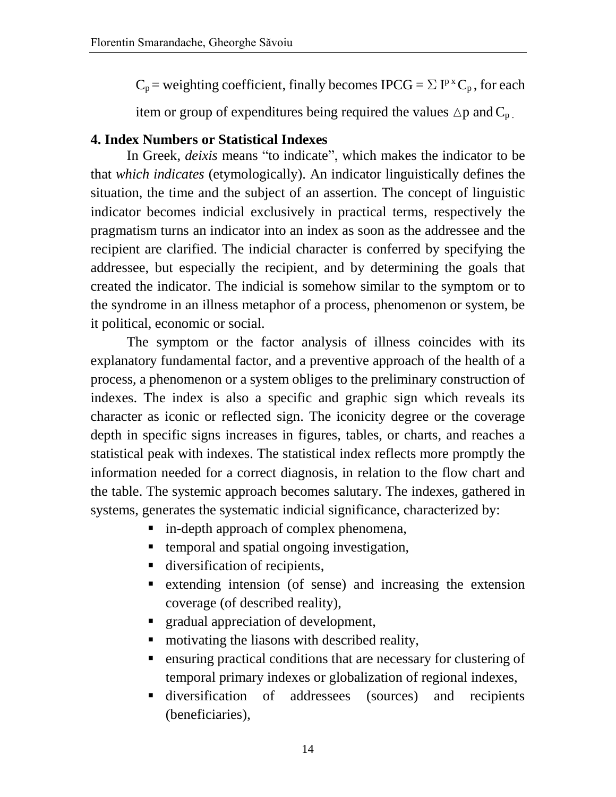$C_p$  = weighting coefficient, finally becomes IPCG =  $\Sigma I^{p}C_p$ , for each

item or group of expenditures being required the values  $\Delta p$  and  $C_p$ .

## **4. Index Numbers or Statistical Indexes**

In Greek, *deixis* means "to indicate", which makes the indicator to be that *which indicates* (etymologically). An indicator linguistically defines the situation, the time and the subject of an assertion. The concept of linguistic indicator becomes indicial exclusively in practical terms, respectively the pragmatism turns an indicator into an index as soon as the addressee and the recipient are clarified. The indicial character is conferred by specifying the addressee, but especially the recipient, and by determining the goals that created the indicator. The indicial is somehow similar to the symptom or to the syndrome in an illness metaphor of a process, phenomenon or system, be it political, economic or social.

The symptom or the factor analysis of illness coincides with its explanatory fundamental factor, and a preventive approach of the health of a process, a phenomenon or a system obliges to the preliminary construction of indexes. The index is also a specific and graphic sign which reveals its character as iconic or reflected sign. The iconicity degree or the coverage depth in specific signs increases in figures, tables, or charts, and reaches a statistical peak with indexes. The statistical index reflects more promptly the information needed for a correct diagnosis, in relation to the flow chart and the table. The systemic approach becomes salutary. The indexes, gathered in systems, generates the systematic indicial significance, characterized by:

- **i** in-depth approach of complex phenomena,
- temporal and spatial ongoing investigation,
- diversification of recipients,
- extending intension (of sense) and increasing the extension coverage (of described reality),
- **F** gradual appreciation of development,
- motivating the liasons with described reality,
- ensuring practical conditions that are necessary for clustering of temporal primary indexes or globalization of regional indexes,
- diversification of addressees (sources) and recipients (beneficiaries),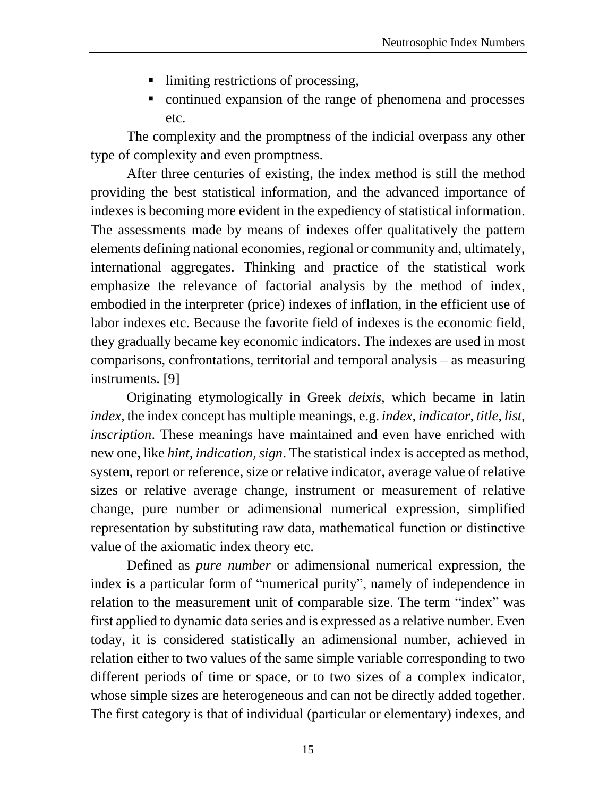- Ilimiting restrictions of processing,
- continued expansion of the range of phenomena and processes etc.

The complexity and the promptness of the indicial overpass any other type of complexity and even promptness.

After three centuries of existing, the index method is still the method providing the best statistical information, and the advanced importance of indexes is becoming more evident in the expediency of statistical information. The assessments made by means of indexes offer qualitatively the pattern elements defining national economies, regional or community and, ultimately, international aggregates. Thinking and practice of the statistical work emphasize the relevance of factorial analysis by the method of index, embodied in the interpreter (price) indexes of inflation, in the efficient use of labor indexes etc. Because the favorite field of indexes is the economic field, they gradually became key economic indicators. The indexes are used in most comparisons, confrontations, territorial and temporal analysis – as measuring instruments. [9]

Originating etymologically in Greek *deixis,* which became in latin *index,* the index concept has multiple meanings, e.g. *index, indicator, title, list, inscription*. These meanings have maintained and even have enriched with new one, like *hint, indication, sign*. The statistical index is accepted as method, system, report or reference, size or relative indicator, average value of relative sizes or relative average change, instrument or measurement of relative change, pure number or adimensional numerical expression, simplified representation by substituting raw data, mathematical function or distinctive value of the axiomatic index theory etc.

Defined as *pure number* or adimensional numerical expression, the index is a particular form of "numerical purity", namely of independence in relation to the measurement unit of comparable size. The term "index" was first applied to dynamic data series and is expressed as a relative number. Even today, it is considered statistically an adimensional number, achieved in relation either to two values of the same simple variable corresponding to two different periods of time or space, or to two sizes of a complex indicator, whose simple sizes are heterogeneous and can not be directly added together. The first category is that of individual (particular or elementary) indexes, and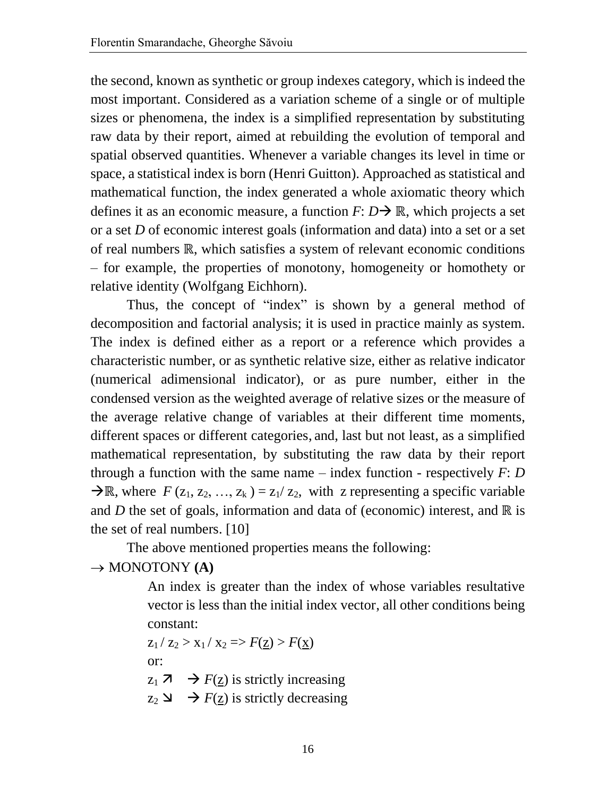the second, known as synthetic or group indexes category, which is indeed the most important. Considered as a variation scheme of a single or of multiple sizes or phenomena, the index is a simplified representation by substituting raw data by their report, aimed at rebuilding the evolution of temporal and spatial observed quantities. Whenever a variable changes its level in time or space, a statistical index is born (Henri Guitton). Approached as statistical and mathematical function, the index generated a whole axiomatic theory which defines it as an economic measure, a function  $F: D \rightarrow \mathbb{R}$ , which projects a set or a set *D* of economic interest goals (information and data) into a set or a set of real numbers ℝ, which satisfies a system of relevant economic conditions – for example, the properties of monotony, homogeneity or homothety or relative identity (Wolfgang Eichhorn).

Thus, the concept of "index" is shown by a general method of decomposition and factorial analysis; it is used in practice mainly as system. The index is defined either as a report or a reference which provides a characteristic number, or as synthetic relative size, either as relative indicator (numerical adimensional indicator), or as pure number, either in the condensed version as the weighted average of relative sizes or the measure of the average relative change of variables at their different time moments, different spaces or different categories, and, last but not least, as a simplified mathematical representation, by substituting the raw data by their report through a function with the same name – index function - respectively  $F: D$  $\rightarrow \mathbb{R}$ , where  $F(z_1, z_2, ..., z_k) = z_1/z_2$ , with z representing a specific variable and *D* the set of goals, information and data of (economic) interest, and ℝ is the set of real numbers. [10]

The above mentioned properties means the following:

#### $\rightarrow$  MONOTONY **(A)**

An index is greater than the index of whose variables resultative vector is less than the initial index vector, all other conditions being constant:

 $z_1 / z_2 > x_1 / x_2 \Rightarrow F(\underline{z}) > F(x)$ or:  $z_1$  **7**  $\rightarrow$   $F(z)$  is strictly increasing

 $Z_2 \rightarrow F(z)$  is strictly decreasing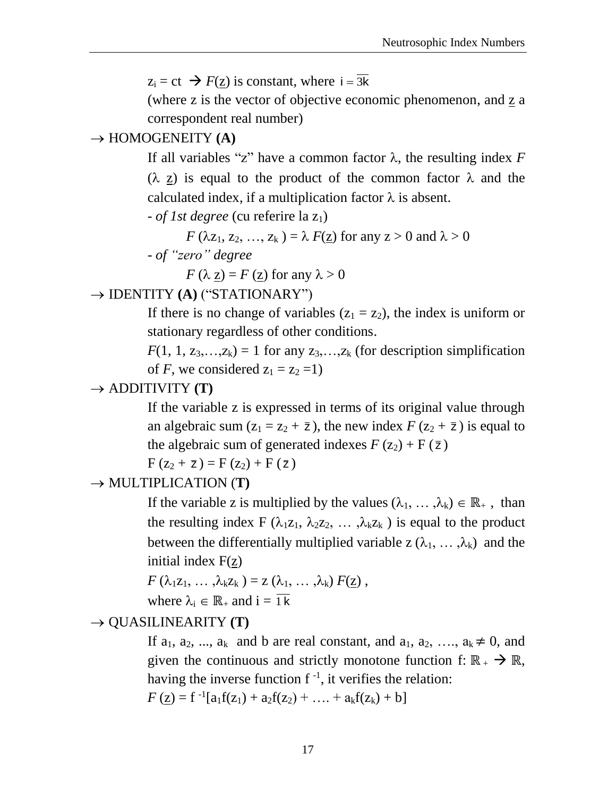$z_i = ct \implies F(\underline{z})$  is constant, where  $i = \overline{3k}$ 

(where z is the vector of objective economic phenomenon, and z a correspondent real number)

#### $\rightarrow$  HOMOGENEITY **(A)**

If all variables "z" have a common factor  $\lambda$ , the resulting index *F*  $(\lambda \underline{z})$  is equal to the product of the common factor  $\lambda$  and the calculated index, if a multiplication factor  $\lambda$  is absent.

- *of 1st degree* (cu referire la z<sub>1</sub>)

$$
F(\lambda z_1, z_2, ..., z_k) = \lambda F(\underline{z})
$$
 for any  $z > 0$  and  $\lambda > 0$ 

- *of "zero" degree*

 $F(\lambda z) = F(z)$  for any  $\lambda > 0$ 

## → **IDENTITY (A)** ("STATIONARY")

If there is no change of variables  $(z_1 = z_2)$ , the index is uniform or stationary regardless of other conditions.

 $F(1, 1, z_3, \ldots, z_k) = 1$  for any  $z_3, \ldots, z_k$  (for description simplification of *F*, we considered  $z_1 = z_2 = 1$ )

#### $\rightarrow$  ADDITIVITY **(T)**

If the variable z is expressed in terms of its original value through an algebraic sum  $(z_1 = z_2 + \overline{z})$ , the new index  $F(z_2 + \overline{z})$  is equal to the algebraic sum of generated indexes  $F(z_2) + F(\bar{z})$ 

 $F(z_2 + \bar{z}) = F(z_2) + F(\bar{z})$ 

 $\rightarrow$  MULTIPLICATION (**T**)

If the variable z is multiplied by the values  $(\lambda_1, \dots, \lambda_k) \in \mathbb{R}_+$ , than the resulting index F ( $\lambda_1 z_1, \lambda_2 z_2, \ldots, \lambda_k z_k$ ) is equal to the product between the differentially multiplied variable  $z(\lambda_1, \ldots, \lambda_k)$  and the initial index  $F(z)$ 

$$
F(\lambda_1 z_1, \ldots, \lambda_k z_k) = z(\lambda_1, \ldots, \lambda_k) F(\underline{z}),
$$
  
where  $\lambda_i \in \mathbb{R}_+$  and  $i = \overline{1 k}$ 

## $\rightarrow$  QUASILINEARITY **(T)**

If  $a_1, a_2, \ldots, a_k$  and b are real constant, and  $a_1, a_2, \ldots, a_k \neq 0$ , and given the continuous and strictly monotone function f:  $\mathbb{R}_+$   $\rightarrow \mathbb{R}$ , having the inverse function  $f^{-1}$ , it verifies the relation:

$$
F(z) = f^{-1}[a_1f(z_1) + a_2f(z_2) + \ldots + a_kf(z_k) + b]
$$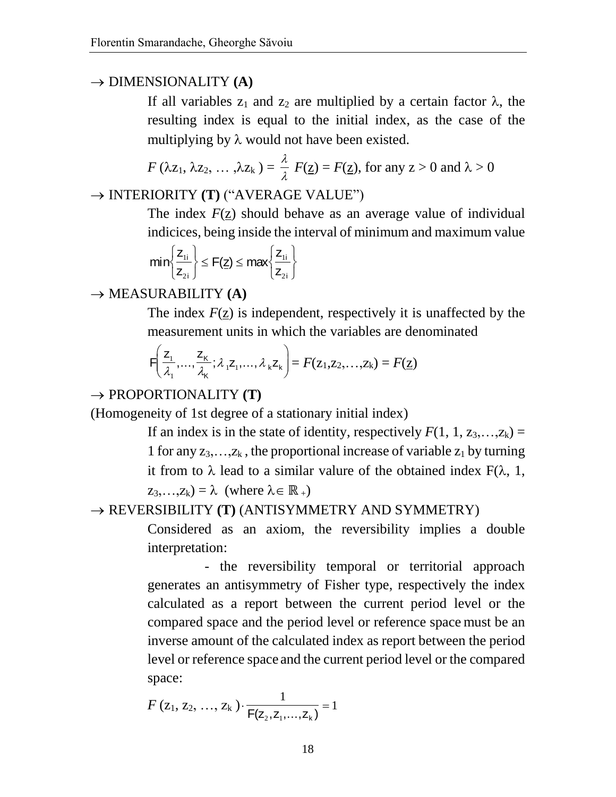# $\rightarrow$  DIMENSIONALITY **(A)**

If all variables  $z_1$  and  $z_2$  are multiplied by a certain factor  $\lambda$ , the resulting index is equal to the initial index, as the case of the multiplying by  $\lambda$  would not have been existed.

$$
F(\lambda z_1, \lambda z_2, ..., \lambda z_k) = \frac{\lambda}{\lambda} F(\underline{z}) = F(\underline{z}),
$$
 for any  $z > 0$  and  $\lambda > 0$ 

# → **INTERIORITY (T)** ("AVERAGE VALUE")

The index  $F(\underline{z})$  should behave as an average value of individual indicices, being inside the interval of minimum and maximum value

$$
min\Biggl\{\frac{z_{_{1i}}}{z_{_{2i}}}\Biggr\}\leq F(\underline{z})\leq max\Biggl\{\frac{z_{_{1i}}}{z_{_{1i}}}\Biggr\}
$$

# $\rightarrow$  MEASURABILITY **(A)**

The index *F*(z) is independent, respectively it is unaffected by the measurement units in which the variables are denominated

$$
F\left(\frac{Z_1}{\lambda_1},\ldots,\frac{Z_K}{\lambda_K};\lambda_1Z_1,\ldots,\lambda_kZ_k\right)=F(z_1,z_2,\ldots,z_k)=F(\underline{z})
$$

# $\rightarrow$  PROPORTIONALITY **(T)**

(Homogeneity of 1st degree of a stationary initial index)

If an index is in the state of identity, respectively  $F(1, 1, z_3, \ldots, z_k) =$ 1 for any  $z_3, \ldots, z_k$ , the proportional increase of variable  $z_1$  by turning it from to  $\lambda$  lead to a similar valure of the obtained index  $F(\lambda, 1, 1)$  $z_3,...,z_k$ ) =  $\lambda$  (where  $\lambda \in \mathbb{R}_+$ )

# REVERSIBILITY **(T)** (ANTISYMMETRY AND SYMMETRY)

Considered as an axiom, the reversibility implies a double interpretation:

- the reversibility temporal or territorial approach generates an antisymmetry of Fisher type, respectively the index calculated as a report between the current period level or the compared space and the period level or reference space must be an inverse amount of the calculated index as report between the period level or reference space and the current period level or the compared space:

$$
F(z_1, z_2, ..., z_k) \cdot \frac{1}{F(z_2, z_1, ..., z_k)} = 1
$$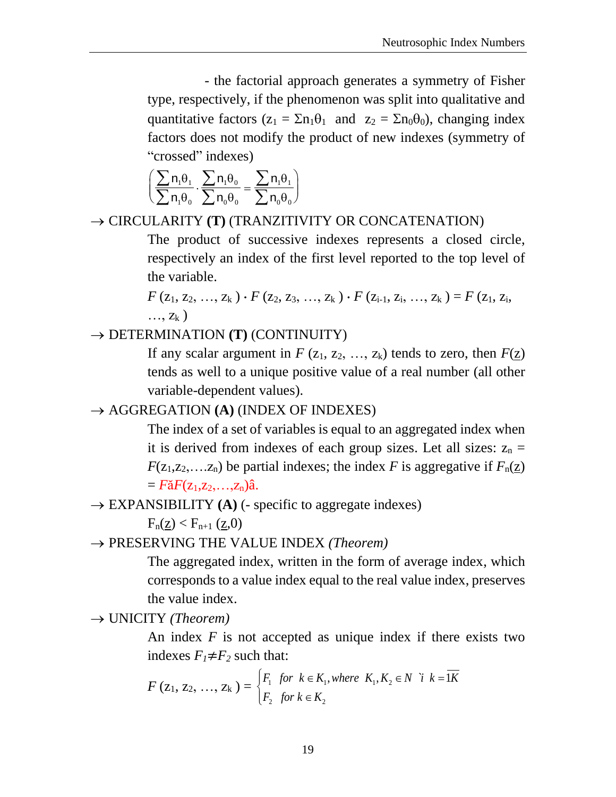- the factorial approach generates a symmetry of Fisher type, respectively, if the phenomenon was split into qualitative and quantitative factors  $(z_1 = \Sigma n_1 \theta_1$  and  $z_2 = \Sigma n_0 \theta_0$ , changing index factors does not modify the product of new indexes (symmetry of "crossed" indexes)

$$
\left(\frac{\sum n_i \theta_i}{\sum n_i \theta_0} \cdot \frac{\sum n_i \theta_0}{\sum n_0 \theta_0} = \frac{\sum n_i \theta_1}{\sum n_0 \theta_0}\right)
$$

→ CIRCULARITY **(T)** (TRANZITIVITY OR CONCATENATION)

The product of successive indexes represents a closed circle, respectively an index of the first level reported to the top level of the variable.

 $F(z_1, z_2, ..., z_k) \cdot F(z_2, z_3, ..., z_k) \cdot F(z_{i-1}, z_i, ..., z_k) = F(z_1, z_i,$  $\ldots, Z_k$ )

→ DETERMINATION **(T)** (CONTINUITY)

If any scalar argument in  $F(z_1, z_2, ..., z_k)$  tends to zero, then  $F(z)$ tends as well to a unique positive value of a real number (all other variable-dependent values).

# → AGGREGATION **(A)** (INDEX OF INDEXES)

The index of a set of variables is equal to an aggregated index when it is derived from indexes of each group sizes. Let all sizes:  $z_n =$  $F(z_1, z_2, \ldots, z_n)$  be partial indexes; the index *F* is aggregative if  $F_n(z)$  $= F\tilde{a}F(z_1, z_2, \ldots, z_n)\hat{a}.$ 

 $\rightarrow$  EXPANSIBILITY **(A)** (- specific to aggregate indexes)

 $F_n(\underline{z}) < F_{n+1} (\underline{z}, 0)$ 

PRESERVING THE VALUE INDEX *(Theorem)*

The aggregated index, written in the form of average index, which corresponds to a value index equal to the real value index, preserves the value index.

UNICITY *(Theorem)*

An index *F* is not accepted as unique index if there exists two indexes  $F_1 \neq F_2$  such that:

indexes 
$$
F_1 \neq F_2
$$
 such that:  
\n
$$
F(z_1, z_2, ..., z_k) = \begin{cases} F_1 & \text{for } k \in K_1, \text{where } K_1, K_2 \in N \ \ i \ k = \overline{1K} \\ F_2 & \text{for } k \in K_2 \end{cases}
$$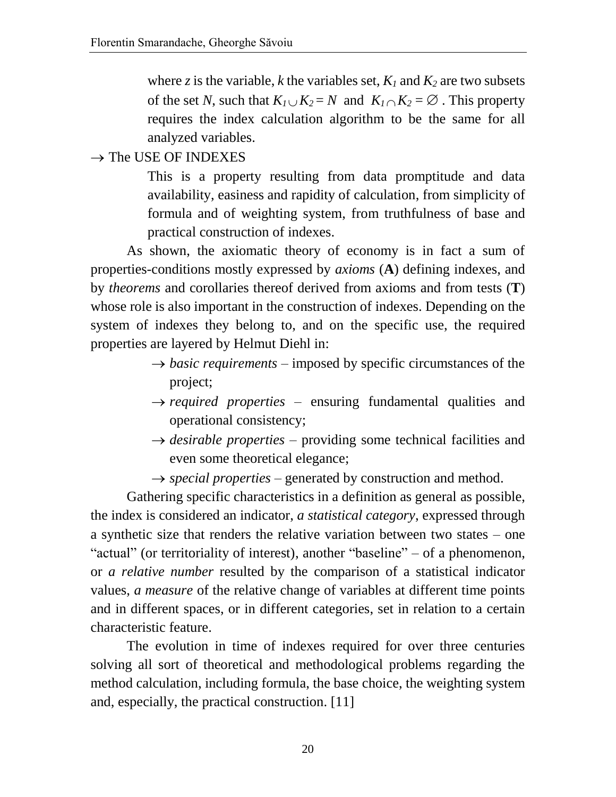where *z* is the variable, *k* the variables set,  $K_l$  and  $K_2$  are two subsets of the set *N*, such that  $K_1 \cup K_2 = N$  and  $K_1 \cap K_2 = \emptyset$ . This property requires the index calculation algorithm to be the same for all analyzed variables.

 $\rightarrow$  The USE OF INDEXES

This is a property resulting from data promptitude and data availability, easiness and rapidity of calculation, from simplicity of formula and of weighting system, from truthfulness of base and practical construction of indexes.

As shown, the axiomatic theory of economy is in fact a sum of properties-conditions mostly expressed by *axioms* (**A**) defining indexes, and by *theorems* and corollaries thereof derived from axioms and from tests (**T**) whose role is also important in the construction of indexes. Depending on the system of indexes they belong to, and on the specific use, the required properties are layered by Helmut Diehl in:

- $\rightarrow$  *basic requirements* imposed by specific circumstances of the project;
- $\rightarrow$  *required properties* ensuring fundamental qualities and operational consistency;
- $\rightarrow$  *desirable properties* providing some technical facilities and even some theoretical elegance;
- $\rightarrow$  *special properties* generated by construction and method.

Gathering specific characteristics in a definition as general as possible, the index is considered an indicator, *a statistical category*, expressed through a synthetic size that renders the relative variation between two states – one "actual" (or territoriality of interest), another "baseline" – of a phenomenon, or *a relative number* resulted by the comparison of a statistical indicator values, *a measure* of the relative change of variables at different time points and in different spaces, or in different categories, set in relation to a certain characteristic feature.

The evolution in time of indexes required for over three centuries solving all sort of theoretical and methodological problems regarding the method calculation, including formula, the base choice, the weighting system and, especially, the practical construction. [11]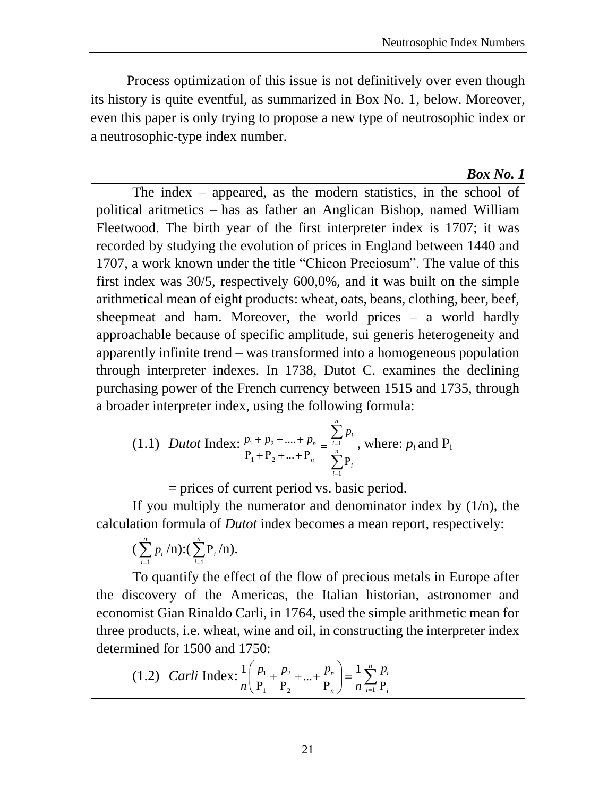Process optimization of this issue is not definitively over even though its history is quite eventful, as summarized in Box No. 1, below. Moreover, even this paper is only trying to propose a new type of neutrosophic index or a neutrosophic-type index number.

#### *Box No. 1*

The index – appeared, as the modern statistics, in the school of political aritmetics – has as father an Anglican Bishop, named William Fleetwood. The birth year of the first interpreter index is 1707; it was recorded by studying the evolution of prices in England between 1440 and 1707, a work known under the title "Chicon Preciosum". The value of this first index was 30/5, respectively 600,0%, and it was built on the simple arithmetical mean of eight products: wheat, oats, beans, clothing, beer, beef, sheepmeat and ham. Moreover, the world prices – a world hardly approachable because of specific amplitude, sui generis heterogeneity and apparently infinite trend – was transformed into a homogeneous population through interpreter indexes. In 1738, Dutot C. examines the declining purchasing power of the French currency between 1515 and 1735, through a broader interpreter index, using the following formula:

(1.1) *Dutot* Index: 
$$
\frac{p_1 + p_2 + .... + p_n}{P_1 + P_2 + .... + P_n} = \frac{\sum_{i=1}^{n} p_i}{\sum_{i=1}^{n} P_i}
$$
, where:  $p_i$  and  $P_i$ 

= prices of current period vs. basic period.

If you multiply the numerator and denominator index by (1/n)*,* the calculation formula of *Dutot* index becomes a mean report, respectively:

$$
\left(\sum_{i=1}^n p_i / n\right) : (\sum_{i=1}^n P_i / n).
$$

To quantify the effect of the flow of precious metals in Europe after the discovery of the Americas, the Italian historian, astronomer and economist Gian Rinaldo Carli, in 1764, used the simple arithmetic mean for three products, i.e. wheat, wine and oil, in constructing the interpreter index determined for 1500 and 1750:

(1.2) *Carli* Index: 
$$
\frac{1}{n} \left( \frac{p_1}{P_1} + \frac{p_2}{P_2} + ... + \frac{p_n}{P_n} \right) = \frac{1}{n} \sum_{i=1}^n \frac{p_i}{P_i}
$$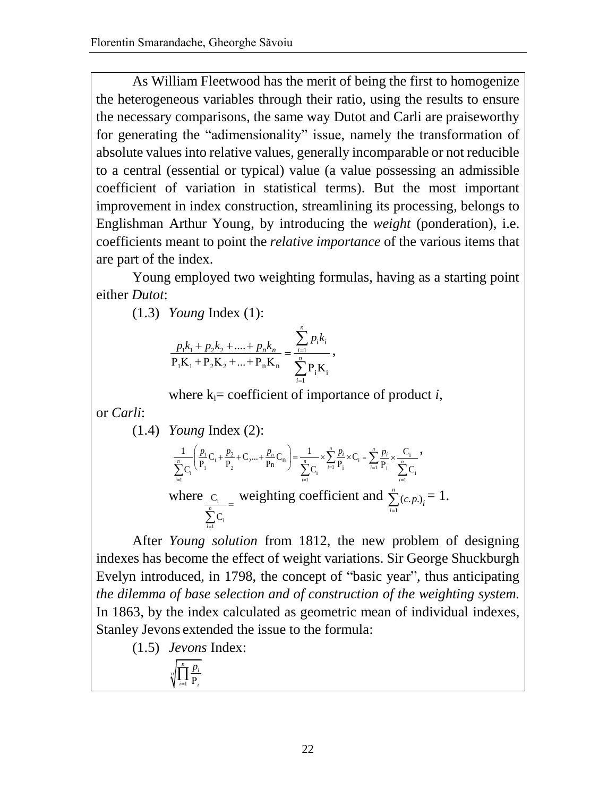As William Fleetwood has the merit of being the first to homogenize the heterogeneous variables through their ratio, using the results to ensure the necessary comparisons, the same way Dutot and Carli are praiseworthy for generating the "adimensionality" issue, namely the transformation of absolute values into relative values, generally incomparable or not reducible to a central (essential or typical) value (a value possessing an admissible coefficient of variation in statistical terms). But the most important improvement in index construction, streamlining its processing, belongs to Englishman Arthur Young, by introducing the *weight* (ponderation), i.e. coefficients meant to point the *relative importance* of the various items that are part of the index.

Young employed two weighting formulas, having as a starting point either *Dutot*:

(1.3) *Young* Index (1):

$$
\frac{p_1k_1 + p_2k_2 + \dots + p_nk_n}{P_1K_1 + P_2K_2 + \dots + P_nK_n} = \frac{\sum_{i=1}^n p_ik_i}{\sum_{i=1}^n P_iK_i},
$$

where  $k_i$ = coefficient of importance of product *i*,

or *Carli*:

(1.4) *Young Index* (2):  
\n
$$
\frac{1}{\sum_{i=1}^{n} C_i} \left( \frac{p_1}{P_1} C_1 + \frac{p_2}{P_2} + C_2 ... + \frac{p_n}{P_n} C_n \right) = \frac{1}{\sum_{i=1}^{n} C_i} \times \sum_{i=1}^{n} \frac{p_i}{P_i} \times C_i = \sum_{i=1}^{n} \frac{p_i}{P_i} \times \frac{C_i}{\sum_{i=1}^{n} C_i},
$$
\nwhere  $C_i$   $\frac{C_i}{\sum_{i=1}^{n} C_i}$  **weighting coefficient and**  $\sum_{i=1}^{n} (c_i p_i)_i = 1$ .

After *Young solution* from 1812, the new problem of designing indexes has become the effect of weight variations. Sir George Shuckburgh Evelyn introduced, in 1798, the concept of "basic year", thus anticipating *the dilemma of base selection and of construction of the weighting system.*  In 1863, by the index calculated as geometric mean of individual indexes, Stanley Jevons extended the issue to the formula:

(1.5) *Jevons* Index:

1  $\prod_{i=1}^n \frac{p_i}{P_i}$ *n*  $i=1$  **f** i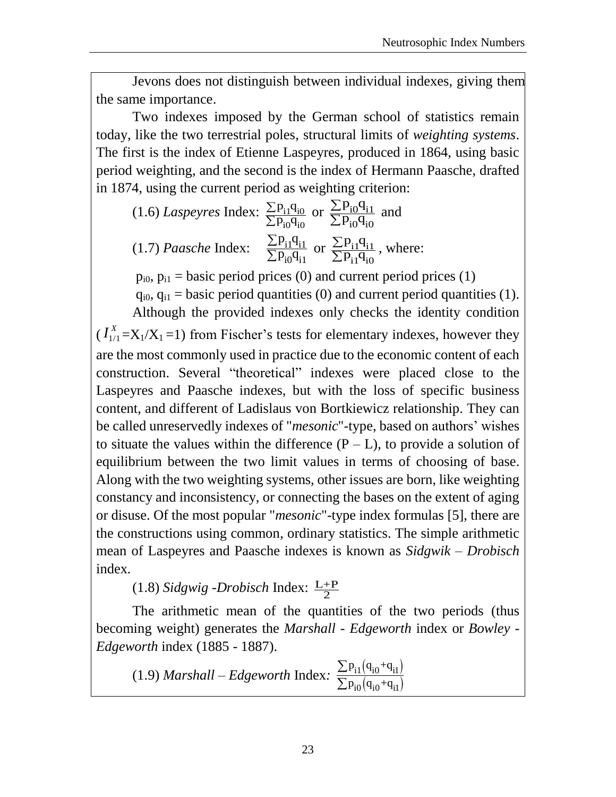Jevons does not distinguish between individual indexes, giving them the same importance.

Two indexes imposed by the German school of statistics remain today, like the two terrestrial poles, structural limits of *weighting systems*. The first is the index of Etienne Laspeyres, produced in 1864, using basic period weighting, and the second is the index of Hermann Paasche, drafted in 1874, using the current period as weighting criterion:

 $(1.6)$  *Laspeyres* Index:  $\frac{\sum P_{i1}q_{i0}}{n}$  $i0^{\mathsf{U}}$ i $0$  $p_{\rm i1}q$  $\frac{11}{p_{i0}q}$  $\sum$  $\frac{\sum P_{i1}q_{i0}}{\sum P_{i0}q_{i0}}$  or  $\frac{\sum P_{i0}q_{i1}}{\sum P_{i0}q_{i0}}$  $i0^{\mathsf{q}}i0$  $p_{\rm in}q$  $\frac{10}{p_{in}q}$  $\overline{\Sigma}$  $\frac{\sum P_{i0}q_{i1}}{\sum P_{i0}q_{i0}}$  and (1.7) *Paasche* Index: <u>i14i1</u>  $i0$ <sup>4</sup> $i1$  $p_{11}q$  $\overline{p_{in}q}$  $\overline{\Sigma}$  $\frac{\sum P_{i1}^{\dagger}q_{i1}^{\dagger}}{\sum P_{i0}^{\dagger}q_{i1}}$  or  $\frac{\sum P_{i1}^{\dagger}q_{i1}^{\dagger}}{\sum P_{i1}^{\dagger}q_{i0}}$  $i1^{\mathbf{q}}i0$  $p_{11}q$  $\frac{11}{p_{11}}q$  $\overline{\Sigma}$  $\frac{\sum P_{i1}q_{i1}}{\sum P_{i1}q_{i0}}$ , where:

 $p_{i0}$ ,  $p_{i1}$  = basic period prices (0) and current period prices (1)

 $q_{i0}$ ,  $q_{i1}$  = basic period quantities (0) and current period quantities (1).

Although the provided indexes only checks the identity condition (  $I_{1/1}^{\scriptscriptstyle\Lambda}$  $I_{1/1}^X = X_1/X_1 = 1$ ) from Fischer's tests for elementary indexes, however they are the most commonly used in practice due to the economic content of each construction. Several "theoretical" indexes were placed close to the Laspeyres and Paasche indexes, but with the loss of specific business content, and different of Ladislaus von Bortkiewicz relationship. They can be called unreservedly indexes of "*mesonic*"-type, based on authors' wishes to situate the values within the difference  $(P - L)$ , to provide a solution of equilibrium between the two limit values in terms of choosing of base. Along with the two weighting systems, other issues are born, like weighting constancy and inconsistency, or connecting the bases on the extent of aging or disuse. Of the most popular "*mesonic*"-type index formulas [5], there are the constructions using common, ordinary statistics. The simple arithmetic mean of Laspeyres and Paasche indexes is known as *Sidgwik – Drobisch* index*.*

 $(1.8)$  *Sidgwig -Drobisch* Index:  $\frac{L+P}{2}$  $\frac{1}{2}$ 

The arithmetic mean of the quantities of the two periods (thus becoming weight) generates the *Marshall - Edgeworth* index or *Bowley - Edgeworth* index (1885 - 1887).

(1.9) *Marshall – Edgeworth Index:* 
$$
\frac{\sum p_{i1}(q_{i0}+q_{i1})}{\sum p_{i0}(q_{i0}+q_{i1})}
$$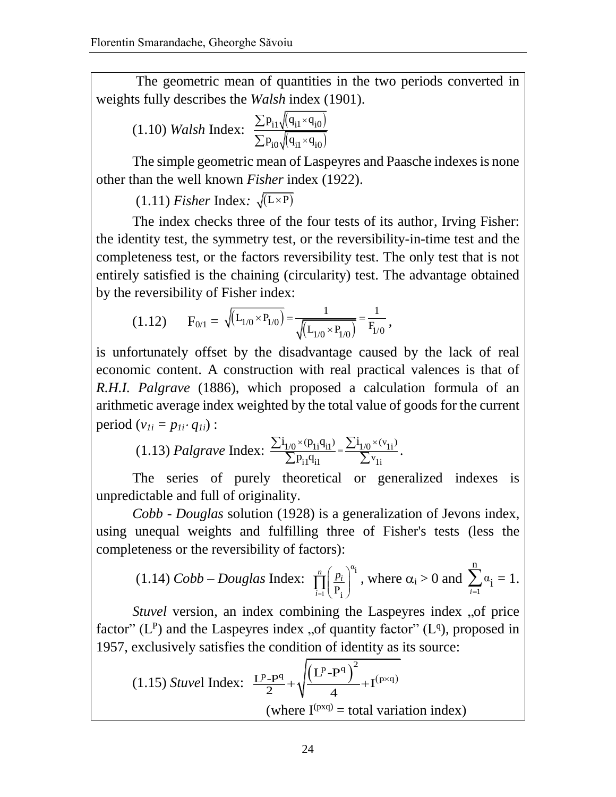The geometric mean of quantities in the two periods converted in weights fully describes the *Walsh* index (1901).

(1.10) *Walsh* Index: 
$$
\frac{\sum p_{i1} \sqrt{(q_{i1} \times q_{i0})}}{\sum p_{i0} \sqrt{(q_{i1} \times q_{i0})}}
$$

The simple geometric mean of Laspeyres and Paasche indexes is none other than the well known *Fisher* index (1922).

 $(1.11)$  *Fisher* Index:  $\sqrt{(L \times P)}$ 

The index checks three of the four tests of its author, Irving Fisher: the identity test, the symmetry test, or the reversibility-in-time test and the completeness test, or the factors reversibility test. The only test that is not entirely satisfied is the chaining (circularity) test. The advantage obtained by the reversibility of Fisher index:

(1.12) 
$$
F_{0/1} = \sqrt{\left(L_{1/0} \times P_{1/0}\right)} = \frac{1}{\sqrt{\left(L_{1/0} \times P_{1/0}\right)}} = \frac{1}{F_{1/0}},
$$

is unfortunately offset by the disadvantage caused by the lack of real economic content. A construction with real practical valences is that of *R.H.I. Palgrave* (1886), which proposed a calculation formula of an arithmetic average index weighted by the total value of goods for the current period  $(v_{1i} = p_{1i} \cdot q_{1i})$ :

(1.13) *Palgrave* Index: 
$$
\frac{\sum i_{1/0} \times (p_{1i}q_{i1})}{\sum p_{i1}q_{i1}} = \frac{\sum i_{1/0} \times (v_{1i})}{\sum v_{1i}}.
$$

The series of purely theoretical or generalized indexes is unpredictable and full of originality.

*Cobb - Douglas* solution (1928) is a generalization of Jevons index, using unequal weights and fulfilling three of Fisher's tests (less the completeness or the reversibility of factors):

(1.14) *Cobb–Douglas Index*: 
$$
\prod_{i=1}^{n} \left(\frac{p_i}{P_i}\right)^{\alpha_i}
$$
, where  $\alpha_i > 0$  and  $\sum_{i=1}^{n} \alpha_i = 1$ .

*Stuvel* version, an index combining the Laspeyres index "of price factor" ( $L^P$ ) and the Laspeyres index "of quantity factor" ( $L^q$ ), proposed in 1957, exclusively satisfies the condition of identity as its source:

(1.15) *Stuvel* Index: 
$$
\frac{L^{p} - P^{q}}{2} + \sqrt{\frac{(L^{p} - P^{q})^{2}}{4} + I^{(p \times q)}} \text{ (where } I^{(p \times q)} = \text{total variation index)}
$$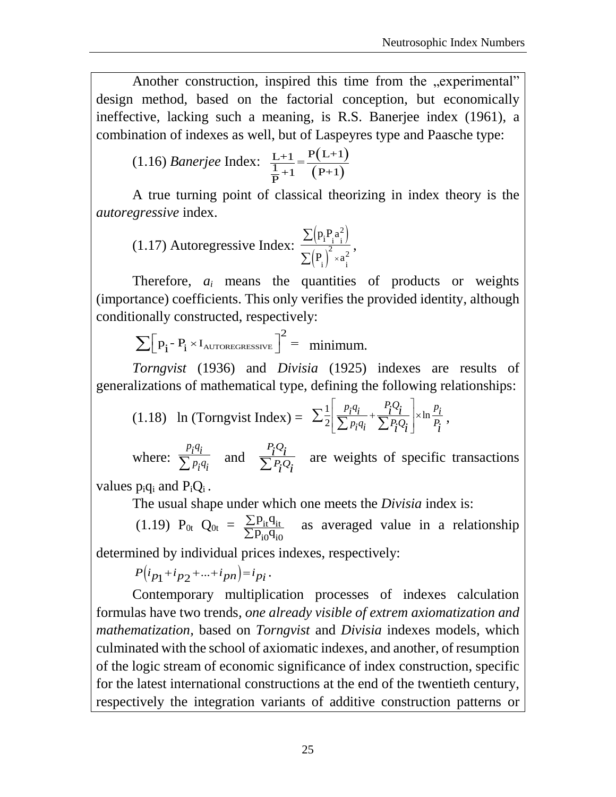Another construction, inspired this time from the "experimental" design method, based on the factorial conception, but economically ineffective, lacking such a meaning, is R.S. Banerjee index (1961), a combination of indexes as well, but of Laspeyres type and Paasche type:

(1.16) *Banerjee* Index: 
$$
\frac{L+1}{\frac{1}{P}+1} = \frac{P(L+1)}{(P+1)}
$$

A true turning point of classical theorizing in index theory is the *autoregressive* index.

(1.17) Autoregressive Index: 
$$
\frac{\sum (p_i P_i a_i^2)}{\sum (P_i)^2 \times a_i^2},
$$

Therefore,  $a_i$  means the quantities of products or weights (importance) coefficients. This only verifies the provided identity, although conditionally constructed, respectively:

$$
\sum \Big[ p_i - P_i \times I_{\text{AUTOREGRESIVE}} \Big]^2 = \text{ minimum.}
$$

*Torngvist* (1936) and *Divisia* (1925) indexes are results of generalizations of mathematical type, defining the following relationships:

(1.18) In (Torngvist Index) = 
$$
\sum_{i=1}^{n} \left[ \frac{p_i q_i}{\sum p_i q_i} + \frac{P_i Q_i}{\sum P_i Q_i} \right] \times \ln \frac{p_i}{P_i},
$$

where:  $p_i q_i$  $\frac{p_i}{\sum p_i q_i}$  and  $P_{i}Q$ *PQ*  $i^{Q_i}$  $\frac{i^{2}i}{\sum P_{i}Q_{i}}$  are weights of specific transactions

values  $p_iq_i$  and  $P_iQ_i$ .

The usual shape under which one meets the *Divisia* index is:

(1.19) 
$$
P_{0t}
$$
  $Q_{0t} = \frac{\sum p_{it} q_{it}}{\sum p_{i0} q_{i0}}$  as averaged value in a relationship

determined by individual prices indexes, respectively:

 $P(i_{p_1}+i_{p_2}+...+i_{pn})=i_{p_i}.$ 

Contemporary multiplication processes of indexes calculation formulas have two trends*, one already visible of extrem axiomatization and mathematization,* based on *Torngvist* and *Divisia* indexes models*,* which culminated with the school of axiomatic indexes, and another, of resumption of the logic stream of economic significance of index construction, specific for the latest international constructions at the end of the twentieth century, respectively the integration variants of additive construction patterns or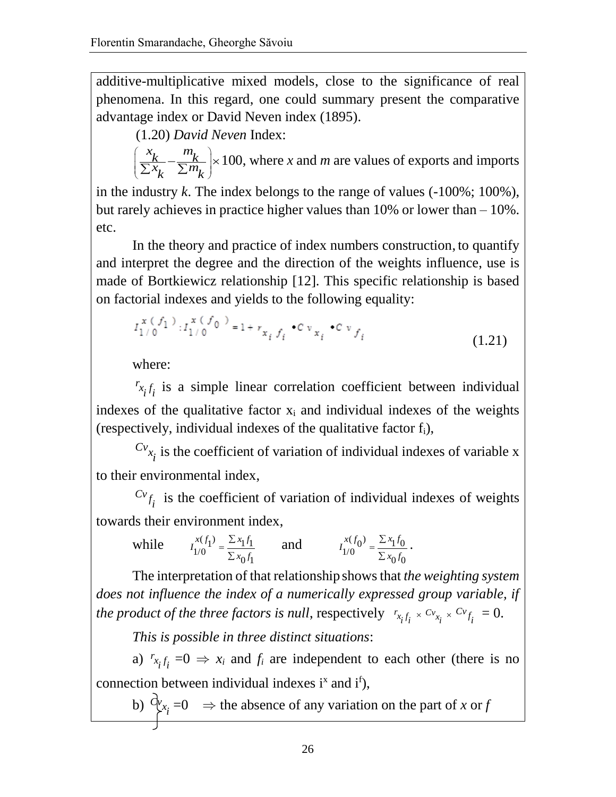additive-multiplicative mixed models, close to the significance of real phenomena. In this regard, one could summary present the comparative advantage index or David Neven index (1895).

(1.20) *David Neven* Index:

 $\frac{x}{k} - \frac{m}{k}$  $\left(\frac{x_k}{\sum x_k} - \frac{m_k}{\sum m_k}\right) \times 100$ , where *x* and *m* are values of exports and imports

in the industry *k*. The index belongs to the range of values (-100%; 100%), but rarely achieves in practice higher values than 10% or lower than – 10%. etc.

In the theory and practice of index numbers construction, to quantify and interpret the degree and the direction of the weights influence, use is made of Bortkiewicz relationship [12]. This specific relationship is based on factorial indexes and yields to the following equality:

$$
I_{1/0}^{x (f_1)} : I_{1/0}^{x (f_0)} = 1 + r_{x_i f_i} \cdot c v_{x_i} \cdot c v_{f_i}
$$
 (1.21)

where:

 $r_{x_i}$  *i*<sub>i</sub> is a simple linear correlation coefficient between individual indexes of the qualitative factor  $x_i$  and individual indexes of the weights (respectively, individual indexes of the qualitative factor  $f_i$ ),

 $Cv_{x_i}$  is the coefficient of variation of individual indexes of variable x to their environmental index,

 $Cv_{f_i}$  is the coefficient of variation of individual indexes of weights towards their environment index,

while 
$$
I_{1/0}^{x(f_1)} = \frac{\sum x_1 f_1}{\sum x_0 f_1}
$$
 and 
$$
I_{1/0}^{x(f_0)} = \frac{\sum x_1 f_0}{\sum x_0 f_0}.
$$

The interpretation of that relationship shows that *the weighting system does not influence the index of a numerically expressed group variable, if the product of the three factors is null, respectively*  $r_{x_i f_i} \times c_{y_{x_i}} \times c_{y_{f_i}} = 0.$ 

*This is possible in three distinct situations*:

a)  $r_{x_i} f_i = 0 \Rightarrow x_i$  and  $f_i$  are independent to each other (there is no connection between individual indexes  $i^x$  and  $i^f$ ),

b)  $C_{x_i}^{\nu} = 0 \Rightarrow$  the absence of any variation on the part of *x* or *f*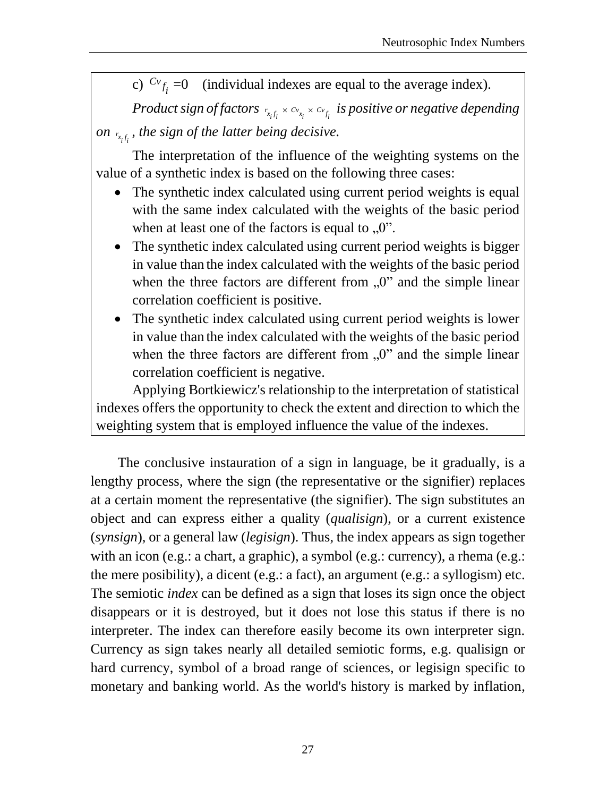c)  $c_v f_i = 0$  (individual indexes are equal to the average index).

*Product sign of factors*  $r_{x_if_i}\times c_{v_{x_i}}\times c_{v_{f_i}}$  *is positive or negative depending on*  $_{r_{x_i f_i}}$ , the sign of the latter being decisive.

The interpretation of the influence of the weighting systems on the value of a synthetic index is based on the following three cases:

- The synthetic index calculated using current period weights is equal with the same index calculated with the weights of the basic period when at least one of the factors is equal to  $[0, 0]$ .
- The synthetic index calculated using current period weights is bigger in value than the index calculated with the weights of the basic period when the three factors are different from  $\mu$ <sup>"</sup> and the simple linear correlation coefficient is positive.
- The synthetic index calculated using current period weights is lower in value than the index calculated with the weights of the basic period when the three factors are different from  $\mu$ <sup>"</sup> and the simple linear correlation coefficient is negative.

Applying Bortkiewicz's relationship to the interpretation of statistical indexes offers the opportunity to check the extent and direction to which the weighting system that is employed influence the value of the indexes.

The conclusive instauration of a sign in language, be it gradually, is a lengthy process, where the sign (the representative or the signifier) replaces at a certain moment the representative (the signifier). The sign substitutes an object and can express either a quality (*qualisign*), or a current existence (*synsign*), or a general law (*legisign*). Thus, the index appears as sign together with an icon (e.g.: a chart, a graphic), a symbol (e.g.: currency), a rhema (e.g.: the mere posibility), a dicent (e.g.: a fact), an argument (e.g.: a syllogism) etc. The semiotic *index* can be defined as a sign that loses its sign once the object disappears or it is destroyed, but it does not lose this status if there is no interpreter. The index can therefore easily become its own interpreter sign. Currency as sign takes nearly all detailed semiotic forms, e.g. qualisign or hard currency, symbol of a broad range of sciences, or legisign specific to monetary and banking world. As the world's history is marked by inflation,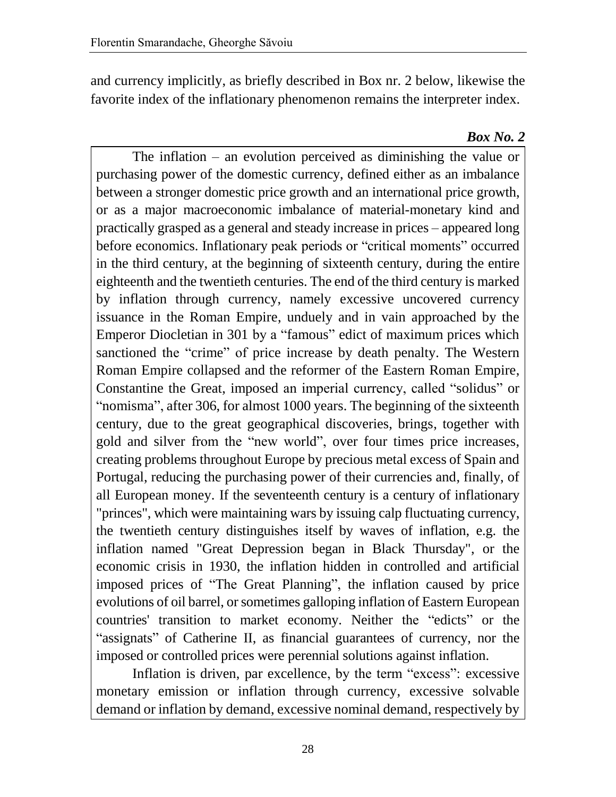and currency implicitly, as briefly described in Box nr. 2 below, likewise the favorite index of the inflationary phenomenon remains the interpreter index.

#### *Box No. 2*

The inflation – an evolution perceived as diminishing the value or purchasing power of the domestic currency, defined either as an imbalance between a stronger domestic price growth and an international price growth, or as a major macroeconomic imbalance of material-monetary kind and practically grasped as a general and steady increase in prices – appeared long before economics. Inflationary peak periods or "critical moments" occurred in the third century, at the beginning of sixteenth century, during the entire eighteenth and the twentieth centuries. The end of the third century is marked by inflation through currency, namely excessive uncovered currency issuance in the Roman Empire, unduely and in vain approached by the Emperor Diocletian in 301 by a "famous" edict of maximum prices which sanctioned the "crime" of price increase by death penalty. The Western Roman Empire collapsed and the reformer of the Eastern Roman Empire, Constantine the Great, imposed an imperial currency, called "solidus" or "nomisma", after 306, for almost 1000 years. The beginning of the sixteenth century, due to the great geographical discoveries, brings, together with gold and silver from the "new world", over four times price increases, creating problems throughout Europe by precious metal excess of Spain and Portugal, reducing the purchasing power of their currencies and, finally, of all European money. If the seventeenth century is a century of inflationary "princes", which were maintaining wars by issuing calp fluctuating currency, the twentieth century distinguishes itself by waves of inflation, e.g. the inflation named "Great Depression began in Black Thursday", or the economic crisis in 1930, the inflation hidden in controlled and artificial imposed prices of "The Great Planning", the inflation caused by price evolutions of oil barrel, or sometimes galloping inflation of Eastern European countries' transition to market economy. Neither the "edicts" or the "assignats" of Catherine II, as financial guarantees of currency, nor the imposed or controlled prices were perennial solutions against inflation.

Inflation is driven, par excellence, by the term "excess": excessive monetary emission or inflation through currency, excessive solvable demand or inflation by demand, excessive nominal demand, respectively by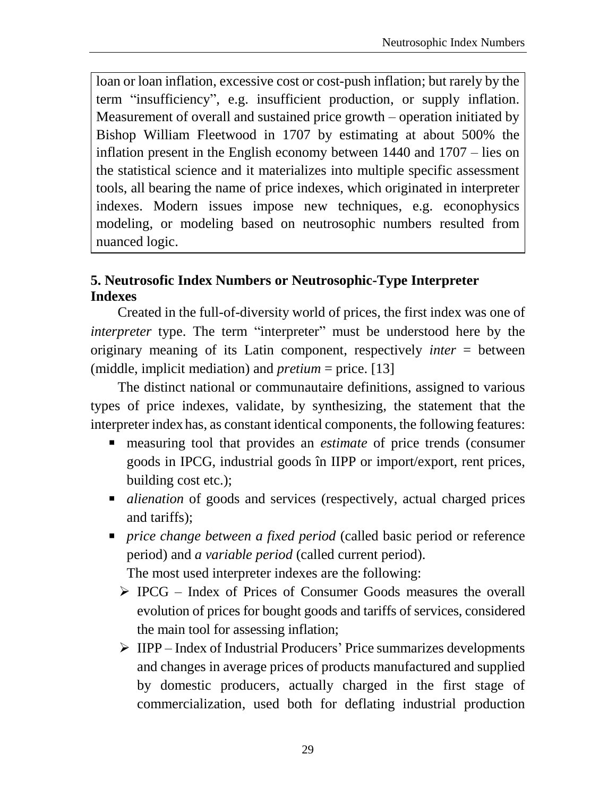loan or loan inflation, excessive cost or cost-push inflation; but rarely by the term "insufficiency", e.g. insufficient production, or supply inflation. Measurement of overall and sustained price growth – operation initiated by Bishop William Fleetwood in 1707 by estimating at about 500% the inflation present in the English economy between 1440 and 1707 – lies on the statistical science and it materializes into multiple specific assessment tools, all bearing the name of price indexes, which originated in interpreter indexes. Modern issues impose new techniques, e.g. econophysics modeling, or modeling based on neutrosophic numbers resulted from nuanced logic.

## **5. Neutrosofic Index Numbers or Neutrosophic-Type Interpreter Indexes**

Created in the full-of-diversity world of prices, the first index was one of *interpreter* type. The term "interpreter" must be understood here by the originary meaning of its Latin component, respectively *inter* = between (middle, implicit mediation) and *pretium* = price. [13]

The distinct national or communautaire definitions, assigned to various types of price indexes, validate, by synthesizing, the statement that the interpreter index has, as constant identical components, the following features:

- measuring tool that provides an *estimate* of price trends (consumer goods in IPCG, industrial goods în IIPP or import/export, rent prices, building cost etc.);
- *alienation* of goods and services (respectively, actual charged prices and tariffs);
- *price change between a fixed period* (called basic period or reference period) and *a variable period* (called current period).

The most used interpreter indexes are the following:

- IPCG Index of Prices of Consumer Goods measures the overall evolution of prices for bought goods and tariffs of services, considered the main tool for assessing inflation;
- IIPP Index of Industrial Producers' Price summarizes developments and changes in average prices of products manufactured and supplied by domestic producers, actually charged in the first stage of commercialization, used both for deflating industrial production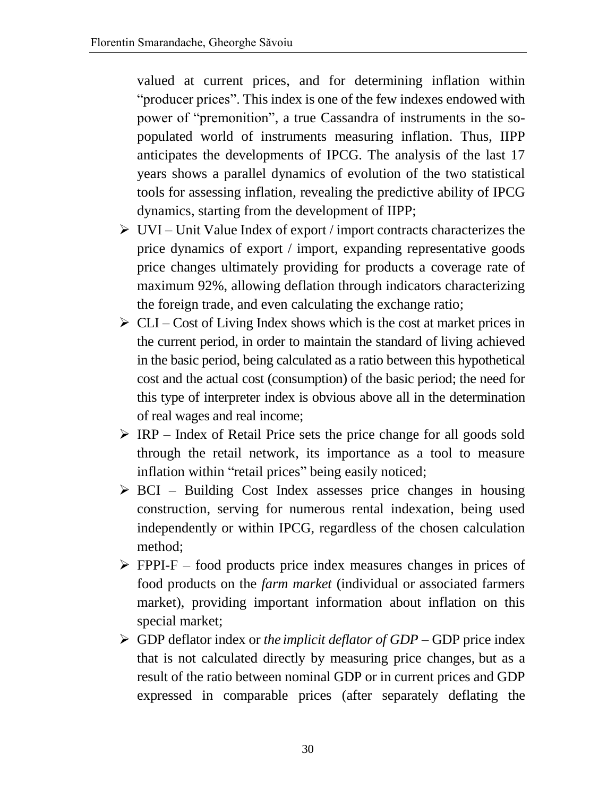valued at current prices, and for determining inflation within "producer prices". This index is one of the few indexes endowed with power of "premonition", a true Cassandra of instruments in the sopopulated world of instruments measuring inflation. Thus, IIPP anticipates the developments of IPCG. The analysis of the last 17 years shows a parallel dynamics of evolution of the two statistical tools for assessing inflation, revealing the predictive ability of IPCG dynamics, starting from the development of IIPP;

- $\triangleright$  UVI Unit Value Index of export / import contracts characterizes the price dynamics of export / import, expanding representative goods price changes ultimately providing for products a coverage rate of maximum 92%, allowing deflation through indicators characterizing the foreign trade, and even calculating the exchange ratio;
- $\triangleright$  CLI Cost of Living Index shows which is the cost at market prices in the current period, in order to maintain the standard of living achieved in the basic period, being calculated as a ratio between this hypothetical cost and the actual cost (consumption) of the basic period; the need for this type of interpreter index is obvious above all in the determination of real wages and real income;
- $\triangleright$  IRP Index of Retail Price sets the price change for all goods sold through the retail network, its importance as a tool to measure inflation within "retail prices" being easily noticed;
- $\triangleright$  BCI Building Cost Index assesses price changes in housing construction, serving for numerous rental indexation, being used independently or within IPCG, regardless of the chosen calculation method;
- $\triangleright$  FPPI-F food products price index measures changes in prices of food products on the *farm market* (individual or associated farmers market), providing important information about inflation on this special market;
- GDP deflator index or *the implicit deflator of GDP* GDP price index that is not calculated directly by measuring price changes, but as a result of the ratio between nominal GDP or in current prices and GDP expressed in comparable prices (after separately deflating the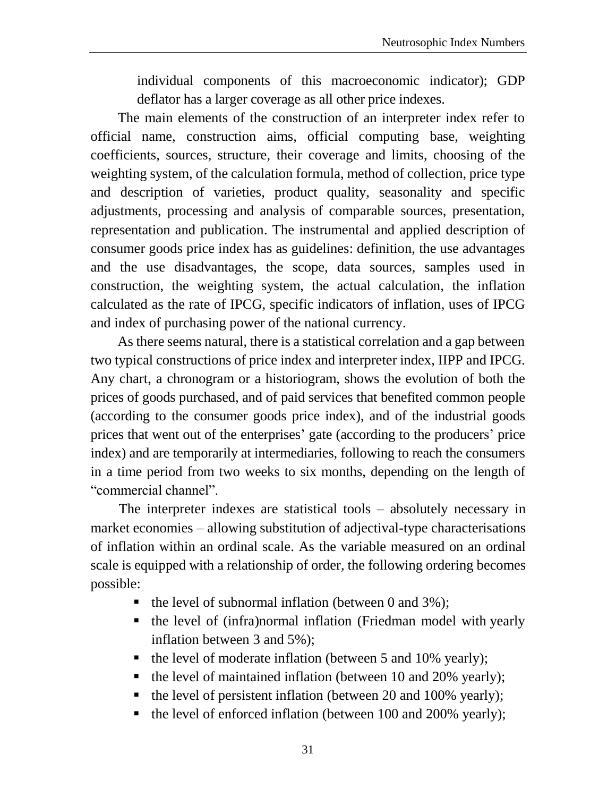individual components of this macroeconomic indicator); GDP deflator has a larger coverage as all other price indexes.

The main elements of the construction of an interpreter index refer to official name, construction aims, official computing base, weighting coefficients, sources, structure, their coverage and limits, choosing of the weighting system, of the calculation formula, method of collection, price type and description of varieties, product quality, seasonality and specific adjustments, processing and analysis of comparable sources, presentation, representation and publication. The instrumental and applied description of consumer goods price index has as guidelines: definition, the use advantages and the use disadvantages, the scope, data sources, samples used in construction, the weighting system, the actual calculation, the inflation calculated as the rate of IPCG, specific indicators of inflation, uses of IPCG and index of purchasing power of the national currency.

As there seems natural, there is a statistical correlation and a gap between two typical constructions of price index and interpreter index, IIPP and IPCG. Any chart, a chronogram or a historiogram, shows the evolution of both the prices of goods purchased, and of paid services that benefited common people (according to the consumer goods price index), and of the industrial goods prices that went out of the enterprises' gate (according to the producers' price index) and are temporarily at intermediaries, following to reach the consumers in a time period from two weeks to six months, depending on the length of "commercial channel".

The interpreter indexes are statistical tools – absolutely necessary in market economies – allowing substitution of adjectival-type characterisations of inflation within an ordinal scale. As the variable measured on an ordinal scale is equipped with a relationship of order, the following ordering becomes possible:

- $\blacksquare$  the level of subnormal inflation (between 0 and 3%);
- the level of (infra)normal inflation (Friedman model with yearly inflation between 3 and 5%);
- $\blacksquare$  the level of moderate inflation (between 5 and 10% yearly);
- the level of maintained inflation (between 10 and 20% yearly);
- the level of persistent inflation (between 20 and 100% yearly);
- the level of enforced inflation (between 100 and 200% yearly);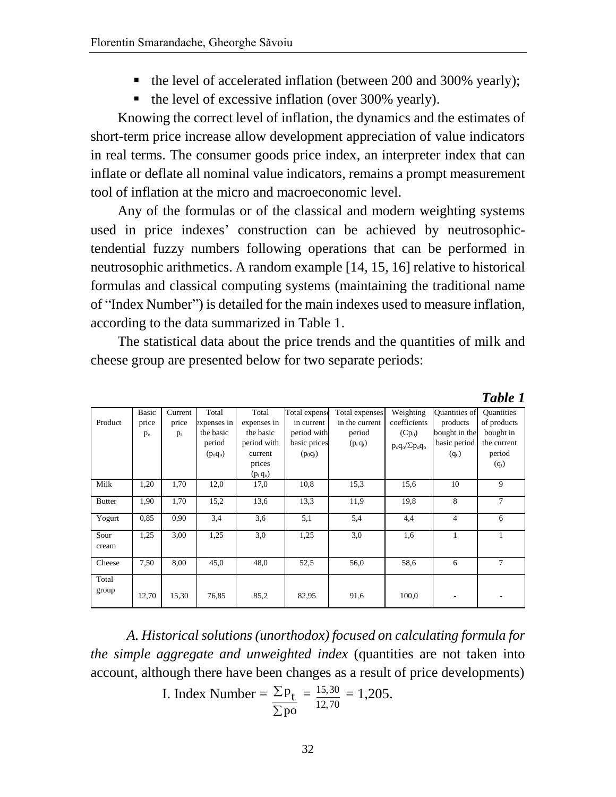- the level of accelerated inflation (between 200 and 300% yearly);
- $\blacksquare$  the level of excessive inflation (over 300% yearly).

Knowing the correct level of inflation, the dynamics and the estimates of short-term price increase allow development appreciation of value indicators in real terms. The consumer goods price index, an interpreter index that can inflate or deflate all nominal value indicators, remains a prompt measurement tool of inflation at the micro and macroeconomic level.

Any of the formulas or of the classical and modern weighting systems used in price indexes' construction can be achieved by neutrosophictendential fuzzy numbers following operations that can be performed in neutrosophic arithmetics. A random example [14, 15, 16] relative to historical formulas and classical computing systems (maintaining the traditional name of "Index Number") is detailed for the main indexes used to measure inflation, according to the data summarized in Table 1.

The statistical data about the price trends and the quantities of milk and cheese group are presented below for two separate periods:

*Table 1*

|                | <b>Basic</b> | Current | Total       | Total       | Total expense | Total expenses | Weighting                  | <b>Quantities of</b> | <b>Quantities</b> |
|----------------|--------------|---------|-------------|-------------|---------------|----------------|----------------------------|----------------------|-------------------|
| Product        | price        | price   | expenses in | expenses in | in current    | in the current | coefficients               | products             | of products       |
|                | $p_{o}$      | $p_t$   | the basic   | the basic   | period with   | period         | $(Cp_0)$                   | bought in the        | bought in         |
|                |              |         | period      | period with | basic prices  | $(p_t q_t)$    | $p_o q_o / \Sigma p_o q_o$ | basic period         | the current       |
|                |              |         | $(p_o q_o)$ | current     | $(p_0q_t)$    |                |                            | $(q_0)$              | period            |
|                |              |         |             | prices      |               |                |                            |                      | $(q_t)$           |
|                |              |         |             | $(p_t q_o)$ |               |                |                            |                      |                   |
| Milk           | 1,20         | 1,70    | 12,0        | 17,0        | 10,8          | 15,3           | 15.6                       | 10                   | 9                 |
| <b>Butter</b>  | 1,90         | 1,70    | 15,2        | 13.6        | 13,3          | 11,9           | 19,8                       | 8                    | 7                 |
| Yogurt         | 0,85         | 0,90    | 3,4         | 3,6         | 5,1           | 5,4            | 4,4                        | $\overline{4}$       | 6                 |
| Sour<br>cream  | 1,25         | 3,00    | 1,25        | 3,0         | 1,25          | 3,0            | 1,6                        | 1                    | 1                 |
| Cheese         | 7,50         | 8,00    | 45,0        | 48,0        | 52,5          | 56,0           | 58,6                       | 6                    | $\tau$            |
| Total<br>group | 12,70        | 15,30   | 76,85       | 85,2        | 82,95         | 91,6           | 100,0                      |                      |                   |

*A. Historical solutions (unorthodox) focused on calculating formula for the simple aggregate and unweighted index* (quantities are not taken into account, although there have been changes as a result of price developments)

I. Index Number = 
$$
\frac{\sum p_t}{\sum po} = \frac{15,30}{12,70} = 1,205.
$$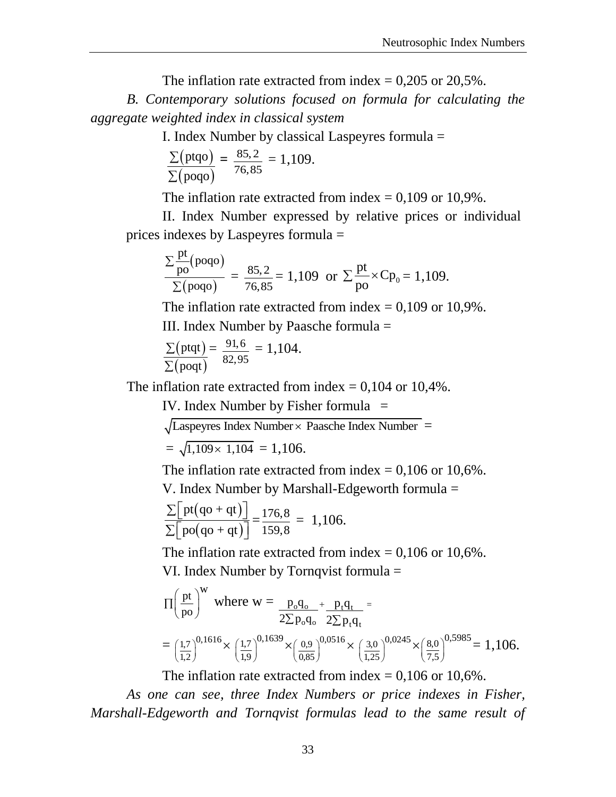The inflation rate extracted from index  $= 0,205$  or 20,5%.

*B. Contemporary solutions focused on formula for calculating the aggregate weighted index in classical system*

I. Index Number by classical Laspeyres formula =

$$
\frac{\Sigma(\text{ptqo})}{\Sigma(\text{poqo})} = \frac{85.2}{76.85} = 1,109.
$$

The inflation rate extracted from index  $= 0.109$  or 10.9%.

II. Index Number expressed by relative prices or individual prices indexes by Laspeyres formula =

$$
\frac{\sum_{\text{po}}^{\text{pt}}(\text{poqo})}{\sum(\text{poqo})} = \frac{85,2}{76,85} = 1,109 \text{ or } \sum_{\text{po}}^{\text{pt}} \times \text{Cp}_0 = 1,109.
$$

The inflation rate extracted from index  $= 0.109$  or 10.9%.

III. Index Number by Paasche formula =

$$
\frac{\sum (ptqt)}{\sum (poqt)} = \frac{91,6}{82,95} = 1,104.
$$

The inflation rate extracted from index  $= 0.104$  or 10,4%.

IV. Index Number by Fisher formula  $=$ 

 $\sqrt{\text{Laspeyres Index Number} \times \text{Paasche Index Number}} =$ 

$$
= \sqrt{1,109 \times 1,104} = 1,106.
$$

The inflation rate extracted from index  $= 0,106$  or 10,6%.

V. Index Number by Marshall-Edgeworth formula =

$$
\frac{\sum \left[ \text{pt}(q\sigma + qt) \right]}{\sum \left[ \text{po}(q\sigma + qt) \right]} = \frac{176.8}{159.8} = 1,106.
$$

The inflation rate extracted from index  $= 0,106$  or 10,6%. VI. Index Number by Tornqvist formula =

$$
\Pi \left(\frac{pt}{po}\right)^{w} \text{ where } w = \frac{p_o q_o}{2 \Sigma p_o q_o} + \frac{p_t q_t}{2 \Sigma p_t q_t} =
$$
  
=  $\left(\frac{1.7}{1.2}\right)^{0,1616} \times \left(\frac{1.7}{1.9}\right)^{0,1639} \times \left(\frac{0.9}{0.85}\right)^{0,0516} \times \left(\frac{3.0}{1.25}\right)^{0,0245} \times \left(\frac{8.0}{7.5}\right)^{0,5985} = 1,106.$ 

The inflation rate extracted from index  $= 0.106$  or 10.6%.

*As one can see, three Index Numbers or price indexes in Fisher, Marshall-Edgeworth and Tornqvist formulas lead to the same result of*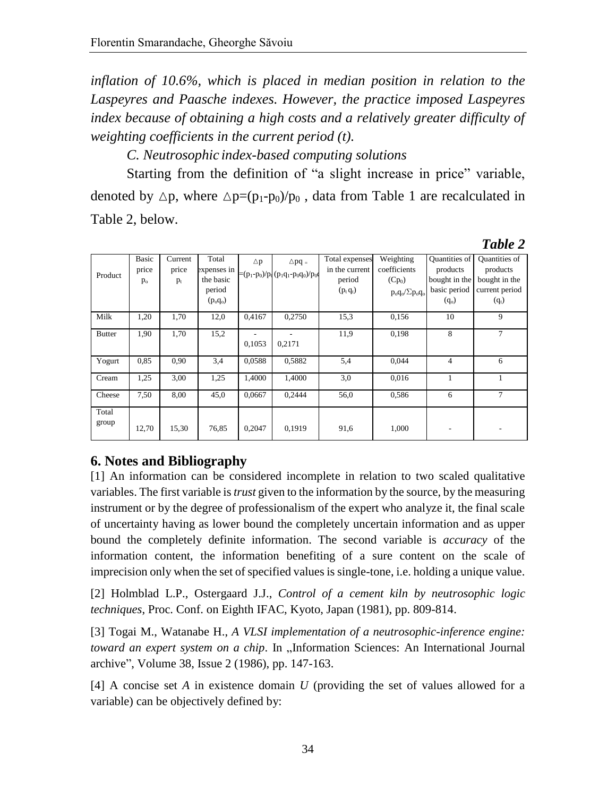*inflation of 10.6%, which is placed in median position in relation to the Laspeyres and Paasche indexes. However, the practice imposed Laspeyres index because of obtaining a high costs and a relatively greater difficulty of weighting coefficients in the current period (t).*

*C. Neutrosophic index-based computing solutions* 

Starting from the definition of "a slight increase in price" variable, denoted by  $\Delta p$ , where  $\Delta p=(p_1-p_0)/p_0$ , data from Table 1 are recalculated in Table 2, below.

|                |                                  |                           |                                                            |               |                                                          |                                                           |                                                                     |                                                                       | Table 2                                                                 |
|----------------|----------------------------------|---------------------------|------------------------------------------------------------|---------------|----------------------------------------------------------|-----------------------------------------------------------|---------------------------------------------------------------------|-----------------------------------------------------------------------|-------------------------------------------------------------------------|
| Product        | <b>Basic</b><br>price<br>$p_{o}$ | Current<br>price<br>$p_t$ | Total<br>expenses in<br>the basic<br>period<br>$(p_o q_o)$ | $\triangle p$ | $\triangle$ pq =<br>$=(p_1-p_0)/p_0 (p_1q_1-p_0q_0)/p_0$ | Total expenses<br>in the current<br>period<br>$(p_t q_t)$ | Weighting<br>coefficients<br>$(Cp_0)$<br>$p_o q_o / \Sigma p_o q_o$ | Quantities of<br>products<br>bought in the<br>basic period<br>$(q_0)$ | Quantities of<br>products<br>bought in the<br>current period<br>$(q_t)$ |
| Milk           | 1,20                             | 1,70                      | 12,0                                                       | 0.4167        | 0,2750                                                   | 15,3                                                      | 0,156                                                               | 10                                                                    | 9                                                                       |
| <b>Butter</b>  | 1,90                             | 1,70                      | 15,2                                                       | 0,1053        | 0,2171                                                   | 11,9                                                      | 0,198                                                               | 8                                                                     | 7                                                                       |
| Yogurt         | 0,85                             | 0.90                      | 3,4                                                        | 0.0588        | 0,5882                                                   | 5,4                                                       | 0,044                                                               | 4                                                                     | 6                                                                       |
| Cream          | 1,25                             | 3,00                      | 1,25                                                       | 1,4000        | 1,4000                                                   | 3,0                                                       | 0.016                                                               | 1                                                                     |                                                                         |
| Cheese         | 7,50                             | 8,00                      | 45,0                                                       | 0.0667        | 0,2444                                                   | 56,0                                                      | 0,586                                                               | 6                                                                     | 7                                                                       |
| Total<br>group | 12,70                            | 15,30                     | 76,85                                                      | 0,2047        | 0,1919                                                   | 91,6                                                      | 1,000                                                               |                                                                       |                                                                         |

# **6. Notes and Bibliography**

[1] An information can be considered incomplete in relation to two scaled qualitative variables. The first variable is *trust* given to the information by the source, by the measuring instrument or by the degree of professionalism of the expert who analyze it, the final scale of uncertainty having as lower bound the completely uncertain information and as upper bound the completely definite information. The second variable is *accuracy* of the information content, the information benefiting of a sure content on the scale of imprecision only when the set of specified values is single-tone, i.e. holding a unique value.

[2] Holmblad L.P., Ostergaard J.J., *Control of a cement kiln by neutrosophic logic techniques*, Proc. Conf. on Eighth IFAC, Kyoto, Japan (1981), pp. 809-814.

[3] Togai M., Watanabe H., *A VLSI implementation of a neutrosophic-inference engine: toward an expert system on a chip.* In "Information Sciences: An International Journal archive", Volume 38, Issue 2 (1986), pp. 147-163.

[4] A concise set *A* in existence domain *U* (providing the set of values allowed for a variable) can be objectively defined by: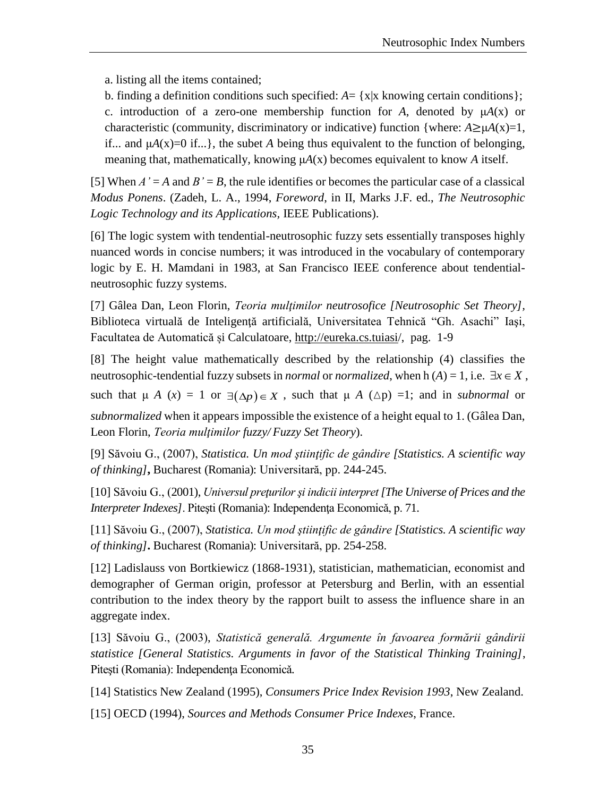a. listing all the items contained;

b. finding a definition conditions such specified:  $A = \{x | x \text{ knowing certain conditions}\}\;$ c. introduction of a zero-one membership function for A, denoted by  $\mu A(x)$  or characteristic (community, discriminatory or indicative) function {where:  $A \ge \mu A(x)=1$ , if... and  $\mu A(x)=0$  if...}, the subet *A* being thus equivalent to the function of belonging, meaning that, mathematically, knowing μ*A*(x) becomes equivalent to know *A* itself.

[5] When  $A' = A$  and  $B' = B$ , the rule identifies or becomes the particular case of a classical *Modus Ponens*. (Zadeh, L. A., 1994, *Foreword*, in II, Marks J.F. ed., *The Neutrosophic Logic Technology and its Applications,* IEEE Publications).

[6] The logic system with tendential-neutrosophic fuzzy sets essentially transposes highly nuanced words in concise numbers; it was introduced in the vocabulary of contemporary logic by E. H. Mamdani in 1983, at San Francisco IEEE conference about tendentialneutrosophic fuzzy systems.

[7] Gâlea Dan, Leon Florin, *Teoria mulţimilor neutrosofice [Neutrosophic Set Theory],*  Biblioteca virtuală de Inteligență artificială, Universitatea Tehnică "Gh. Asachi" Iași, Facultatea de Automatică și Calculatoare,<http://eureka.cs.tuiasi/>, pag. 1-9

[8] The height value mathematically described by the relationship (4) classifies the neutrosophic-tendential fuzzy subsets in *normal* or *normalized*, when  $h(A) = 1$ , i.e.  $\exists x \in X$ , such that  $\mu A(x) = 1$  or  $\exists (\Delta p) \in X$ , such that  $\mu A(\Delta p) =1$ ; and in *subnormal* or *subnormalized* when it appears impossible the existence of a height equal to 1. (Gâlea Dan, Leon Florin, *Teoria mulţimilor fuzzy/ Fuzzy Set Theory*).

[9] Săvoiu G., (2007), *Statistica. Un mod ştiinţific de gândire [Statistics. A scientific way of thinking]***,** Bucharest (Romania): Universitară, pp. 244-245.

[10] Săvoiu G., (2001), *Universul preţurilor şi indicii interpret [The Universe of Prices and the Interpreter Indexes]*. Piteşti (Romania): Independenţa Economicǎ, p. 71.

[11] Săvoiu G., (2007), *Statistica. Un mod ştiinţific de gândire [Statistics. A scientific way of thinking]***.** Bucharest (Romania): Universitară, pp. 254-258.

[12] Ladislauss von Bortkiewicz (1868-1931), statistician, mathematician, economist and demographer of German origin, professor at Petersburg and Berlin, with an essential contribution to the index theory by the rapport built to assess the influence share in an aggregate index.

[13] Săvoiu G., (2003), *Statistică generală. Argumente în favoarea formării gândirii statistice [General Statistics. Arguments in favor of the Statistical Thinking Training]*, Piteşti (Romania): Independenţa Economicǎ.

[14] Statistics New Zealand (1995), *Consumers Price Index Revision 1993*, New Zealand.

[15] OECD (1994), *Sources and Methods Consumer Price Indexes*, France.